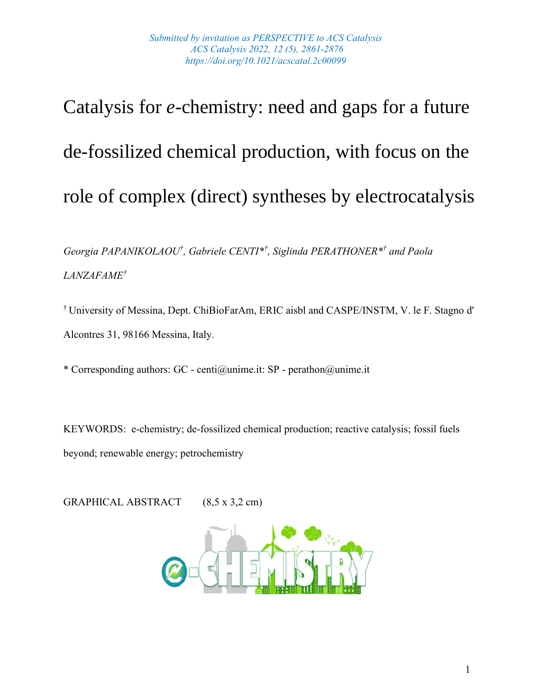# Catalysis for *e*-chemistry: need and gaps for a future de-fossilized chemical production, with focus on the role of complex (direct) syntheses by electrocatalysis

*Georgia PAPANIKOLAOU† , Gabriele CENTI\* † , Siglinda PERATHONER\* † and Paola LANZAFAME†*

† University of Messina, Dept. ChiBioFarAm, ERIC aisbl and CASPE/INSTM, V. le F. Stagno d' Alcontres 31, 98166 Messina, Italy.

\* Corresponding authors: GC - centi@unime.it: SP - perathon@unime.it

KEYWORDS: e-chemistry; de-fossilized chemical production; reactive catalysis; fossil fuels beyond; renewable energy; petrochemistry

GRAPHICAL ABSTRACT (8,5 x 3,2 cm)

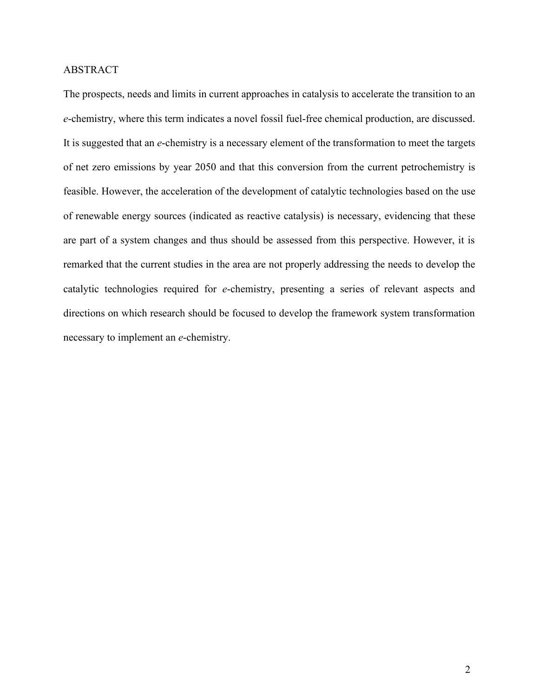## ABSTRACT

The prospects, needs and limits in current approaches in catalysis to accelerate the transition to an *e*-chemistry, where this term indicates a novel fossil fuel-free chemical production, are discussed. It is suggested that an *e*-chemistry is a necessary element of the transformation to meet the targets of net zero emissions by year 2050 and that this conversion from the current petrochemistry is feasible. However, the acceleration of the development of catalytic technologies based on the use of renewable energy sources (indicated as reactive catalysis) is necessary, evidencing that these are part of a system changes and thus should be assessed from this perspective. However, it is remarked that the current studies in the area are not properly addressing the needs to develop the catalytic technologies required for *e*-chemistry, presenting a series of relevant aspects and directions on which research should be focused to develop the framework system transformation necessary to implement an *e*-chemistry.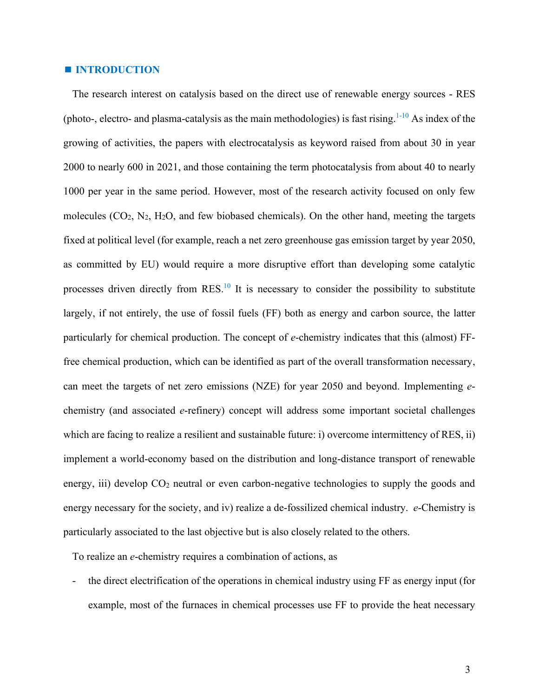#### **INTRODUCTION**

The research interest on catalysis based on the direct use of renewable energy sources - RES (photo-, electro- and plasma-catalysis as the main methodologies) is fast rising.  $1-10$  As index of the growing of activities, the papers with electrocatalysis as keyword raised from about 30 in year 2000 to nearly 600 in 2021, and those containing the term photocatalysis from about 40 to nearly 1000 per year in the same period. However, most of the research activity focused on only few molecules  $(CO_2, N_2, H_2O,$  and few biobased chemicals). On the other hand, meeting the targets fixed at political level (for example, reach a net zero greenhouse gas emission target by year 2050, as committed by EU) would require a more disruptive effort than developing some catalytic processes driven directly from RES.<sup>10</sup> It is necessary to consider the possibility to substitute largely, if not entirely, the use of fossil fuels (FF) both as energy and carbon source, the latter particularly for chemical production. The concept of *e*-chemistry indicates that this (almost) FFfree chemical production, which can be identified as part of the overall transformation necessary, can meet the targets of net zero emissions (NZE) for year 2050 and beyond. Implementing *e*chemistry (and associated *e*-refinery) concept will address some important societal challenges which are facing to realize a resilient and sustainable future: i) overcome intermittency of RES, ii) implement a world-economy based on the distribution and long-distance transport of renewable energy, iii) develop  $CO<sub>2</sub>$  neutral or even carbon-negative technologies to supply the goods and energy necessary for the society, and iv) realize a de-fossilized chemical industry. *e*-Chemistry is particularly associated to the last objective but is also closely related to the others.

To realize an *e*-chemistry requires a combination of actions, as

- the direct electrification of the operations in chemical industry using FF as energy input (for example, most of the furnaces in chemical processes use FF to provide the heat necessary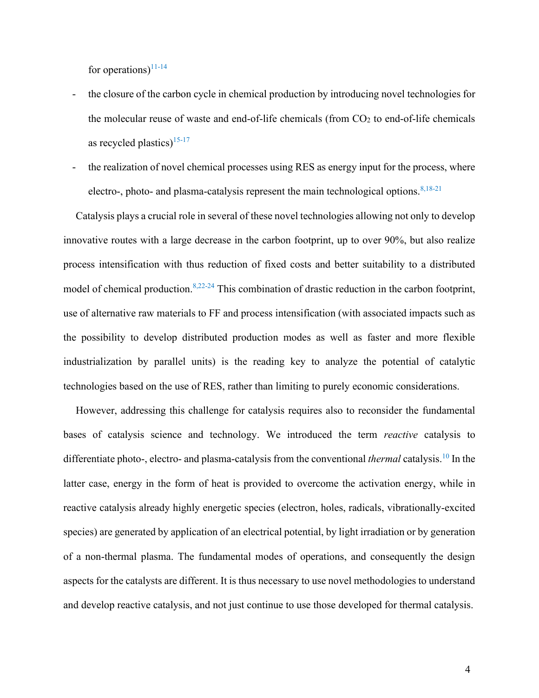for operations)<sup>11-14</sup>

- the closure of the carbon cycle in chemical production by introducing novel technologies for the molecular reuse of waste and end-of-life chemicals (from  $CO<sub>2</sub>$  to end-of-life chemicals as recycled plastics) $15-17$
- the realization of novel chemical processes using RES as energy input for the process, where electro-, photo- and plasma-catalysis represent the main technological options. $8,18-21$

Catalysis plays a crucial role in several of these novel technologies allowing not only to develop innovative routes with a large decrease in the carbon footprint, up to over 90%, but also realize process intensification with thus reduction of fixed costs and better suitability to a distributed model of chemical production.<sup>8,22-24</sup> This combination of drastic reduction in the carbon footprint, use of alternative raw materials to FF and process intensification (with associated impacts such as the possibility to develop distributed production modes as well as faster and more flexible industrialization by parallel units) is the reading key to analyze the potential of catalytic technologies based on the use of RES, rather than limiting to purely economic considerations.

However, addressing this challenge for catalysis requires also to reconsider the fundamental bases of catalysis science and technology. We introduced the term *reactive* catalysis to differentiate photo-, electro- and plasma-catalysis from the conventional *thermal* catalysis.<sup>10</sup> In the latter case, energy in the form of heat is provided to overcome the activation energy, while in reactive catalysis already highly energetic species (electron, holes, radicals, vibrationally-excited species) are generated by application of an electrical potential, by light irradiation or by generation of a non-thermal plasma. The fundamental modes of operations, and consequently the design aspects for the catalysts are different. It is thus necessary to use novel methodologies to understand and develop reactive catalysis, and not just continue to use those developed for thermal catalysis.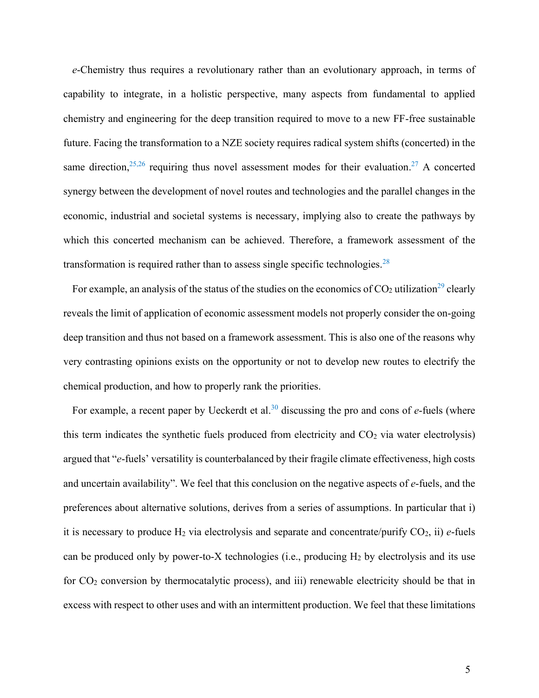*e*-Chemistry thus requires a revolutionary rather than an evolutionary approach, in terms of capability to integrate, in a holistic perspective, many aspects from fundamental to applied chemistry and engineering for the deep transition required to move to a new FF-free sustainable future. Facing the transformation to a NZE society requires radical system shifts (concerted) in the same direction,  $25,26$  requiring thus novel assessment modes for their evaluation. 27 A concerted synergy between the development of novel routes and technologies and the parallel changes in the economic, industrial and societal systems is necessary, implying also to create the pathways by which this concerted mechanism can be achieved. Therefore, a framework assessment of the transformation is required rather than to assess single specific technologies.<sup>28</sup>

For example, an analysis of the status of the studies on the economics of  $CO<sub>2</sub>$  utilization<sup>29</sup> clearly reveals the limit of application of economic assessment models not properly consider the on-going deep transition and thus not based on a framework assessment. This is also one of the reasons why very contrasting opinions exists on the opportunity or not to develop new routes to electrify the chemical production, and how to properly rank the priorities.

For example, a recent paper by Ueckerdt et al.<sup>30</sup> discussing the pro and cons of *e*-fuels (where this term indicates the synthetic fuels produced from electricity and  $CO<sub>2</sub>$  via water electrolysis) argued that "*e*-fuels' versatility is counterbalanced by their fragile climate effectiveness, high costs and uncertain availability". We feel that this conclusion on the negative aspects of *e*-fuels, and the preferences about alternative solutions, derives from a series of assumptions. In particular that i) it is necessary to produce  $H_2$  via electrolysis and separate and concentrate/purify  $CO_2$ , ii)  $e$ -fuels can be produced only by power-to-X technologies (i.e., producing  $H_2$  by electrolysis and its use for CO<sup>2</sup> conversion by thermocatalytic process), and iii) renewable electricity should be that in excess with respect to other uses and with an intermittent production. We feel that these limitations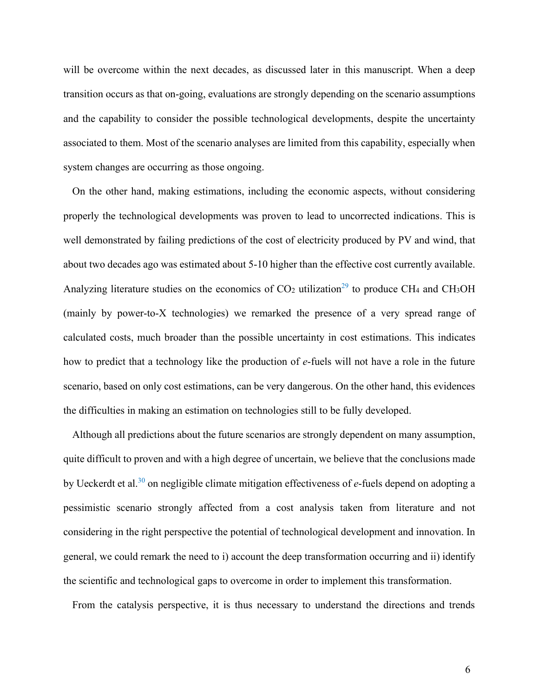will be overcome within the next decades, as discussed later in this manuscript. When a deep transition occurs as that on-going, evaluations are strongly depending on the scenario assumptions and the capability to consider the possible technological developments, despite the uncertainty associated to them. Most of the scenario analyses are limited from this capability, especially when system changes are occurring as those ongoing.

On the other hand, making estimations, including the economic aspects, without considering properly the technological developments was proven to lead to uncorrected indications. This is well demonstrated by failing predictions of the cost of electricity produced by PV and wind, that about two decades ago was estimated about 5-10 higher than the effective cost currently available. Analyzing literature studies on the economics of  $CO<sub>2</sub>$  utilization<sup>29</sup> to produce CH<sub>4</sub> and CH<sub>3</sub>OH (mainly by power-to-X technologies) we remarked the presence of a very spread range of calculated costs, much broader than the possible uncertainty in cost estimations. This indicates how to predict that a technology like the production of *e*-fuels will not have a role in the future scenario, based on only cost estimations, can be very dangerous. On the other hand, this evidences the difficulties in making an estimation on technologies still to be fully developed.

Although all predictions about the future scenarios are strongly dependent on many assumption, quite difficult to proven and with a high degree of uncertain, we believe that the conclusions made by Ueckerdt et al.<sup>30</sup> on negligible climate mitigation effectiveness of *e*-fuels depend on adopting a pessimistic scenario strongly affected from a cost analysis taken from literature and not considering in the right perspective the potential of technological development and innovation. In general, we could remark the need to i) account the deep transformation occurring and ii) identify the scientific and technological gaps to overcome in order to implement this transformation.

From the catalysis perspective, it is thus necessary to understand the directions and trends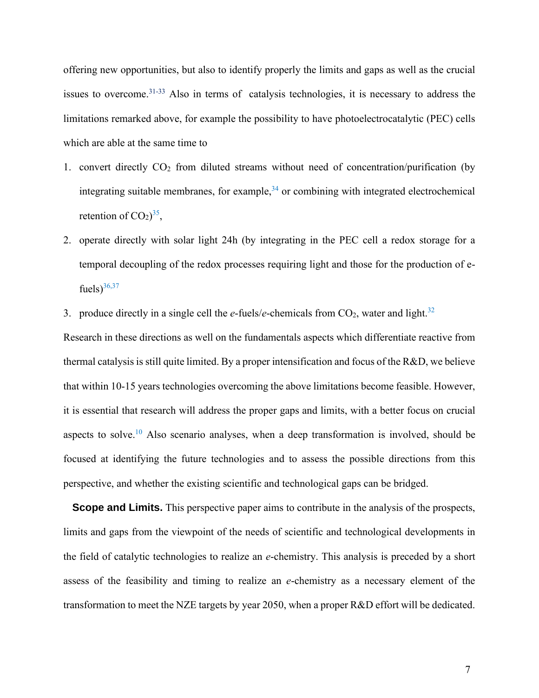offering new opportunities, but also to identify properly the limits and gaps as well as the crucial issues to overcome.<sup>31-33</sup> Also in terms of catalysis technologies, it is necessary to address the limitations remarked above, for example the possibility to have photoelectrocatalytic (PEC) cells which are able at the same time to

- 1. convert directly  $CO<sub>2</sub>$  from diluted streams without need of concentration/purification (by integrating suitable membranes, for example,<sup>34</sup> or combining with integrated electrochemical retention of  $CO<sub>2</sub>$ )<sup>35</sup>,
- 2. operate directly with solar light 24h (by integrating in the PEC cell a redox storage for a temporal decoupling of the redox processes requiring light and those for the production of efuels) $36,37$
- 3. produce directly in a single cell the  $e$ -fuels/ $e$ -chemicals from  $CO_2$ , water and light.<sup>32</sup>

Research in these directions as well on the fundamentals aspects which differentiate reactive from thermal catalysis is still quite limited. By a proper intensification and focus of the R&D, we believe that within 10-15 years technologies overcoming the above limitations become feasible. However, it is essential that research will address the proper gaps and limits, with a better focus on crucial aspects to solve.<sup>10</sup> Also scenario analyses, when a deep transformation is involved, should be focused at identifying the future technologies and to assess the possible directions from this perspective, and whether the existing scientific and technological gaps can be bridged.

**Scope and Limits.** This perspective paper aims to contribute in the analysis of the prospects, limits and gaps from the viewpoint of the needs of scientific and technological developments in the field of catalytic technologies to realize an *e*-chemistry. This analysis is preceded by a short assess of the feasibility and timing to realize an *e*-chemistry as a necessary element of the transformation to meet the NZE targets by year 2050, when a proper R&D effort will be dedicated.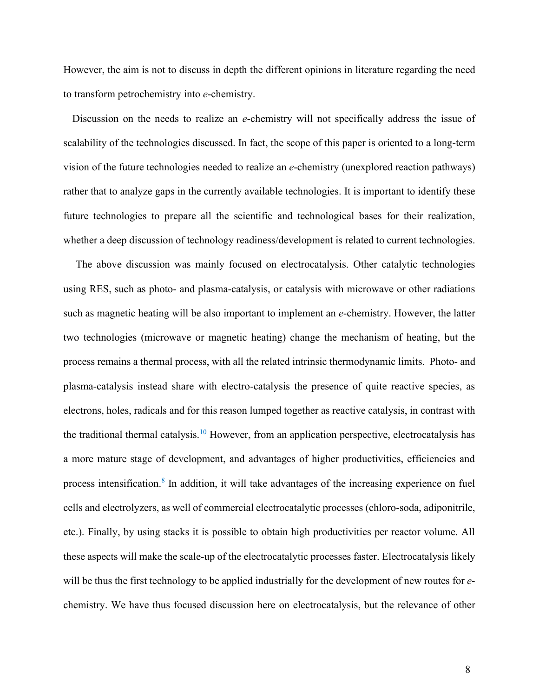However, the aim is not to discuss in depth the different opinions in literature regarding the need to transform petrochemistry into *e*-chemistry.

Discussion on the needs to realize an *e*-chemistry will not specifically address the issue of scalability of the technologies discussed. In fact, the scope of this paper is oriented to a long-term vision of the future technologies needed to realize an *e*-chemistry (unexplored reaction pathways) rather that to analyze gaps in the currently available technologies. It is important to identify these future technologies to prepare all the scientific and technological bases for their realization, whether a deep discussion of technology readiness/development is related to current technologies.

The above discussion was mainly focused on electrocatalysis. Other catalytic technologies using RES, such as photo- and plasma-catalysis, or catalysis with microwave or other radiations such as magnetic heating will be also important to implement an *e*-chemistry. However, the latter two technologies (microwave or magnetic heating) change the mechanism of heating, but the process remains a thermal process, with all the related intrinsic thermodynamic limits. Photo- and plasma-catalysis instead share with electro-catalysis the presence of quite reactive species, as electrons, holes, radicals and for this reason lumped together as reactive catalysis, in contrast with the traditional thermal catalysis.<sup>10</sup> However, from an application perspective, electrocatalysis has a more mature stage of development, and advantages of higher productivities, efficiencies and process intensification.<sup>8</sup> In addition, it will take advantages of the increasing experience on fuel cells and electrolyzers, as well of commercial electrocatalytic processes (chloro-soda, adiponitrile, etc.). Finally, by using stacks it is possible to obtain high productivities per reactor volume. All these aspects will make the scale-up of the electrocatalytic processes faster. Electrocatalysis likely will be thus the first technology to be applied industrially for the development of new routes for *e*chemistry. We have thus focused discussion here on electrocatalysis, but the relevance of other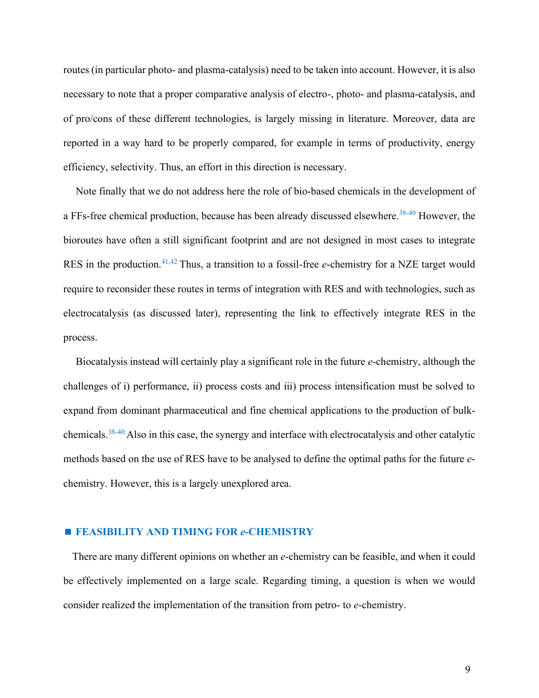routes (in particular photo- and plasma-catalysis) need to be taken into account. However, it is also necessary to note that a proper comparative analysis of electro-, photo- and plasma-catalysis, and of pro/cons of these different technologies, is largely missing in literature. Moreover, data are reported in a way hard to be properly compared, for example in terms of productivity, energy efficiency, selectivity. Thus, an effort in this direction is necessary.

Note finally that we do not address here the role of bio-based chemicals in the development of a FFs-free chemical production, because has been already discussed elsewhere.<sup>38-40</sup> However, the bioroutes have often a still significant footprint and are not designed in most cases to integrate RES in the production.<sup>41,42</sup> Thus, a transition to a fossil-free *e*-chemistry for a NZE target would require to reconsider these routes in terms of integration with RES and with technologies, such as electrocatalysis (as discussed later), representing the link to effectively integrate RES in the process.

Biocatalysis instead will certainly play a significant role in the future *e*-chemistry, although the challenges of i) performance, ii) process costs and iii) process intensification must be solved to expand from dominant pharmaceutical and fine chemical applications to the production of bulkchemicals.38-40 Also in this case, the synergy and interface with electrocatalysis and other catalytic methods based on the use of RES have to be analysed to define the optimal paths for the future *e*chemistry. However, this is a largely unexplored area.

#### **FEASIBILITY AND TIMING FOR** *e***-CHEMISTRY**

There are many different opinions on whether an *e*-chemistry can be feasible, and when it could be effectively implemented on a large scale. Regarding timing, a question is when we would consider realized the implementation of the transition from petro- to *e*-chemistry.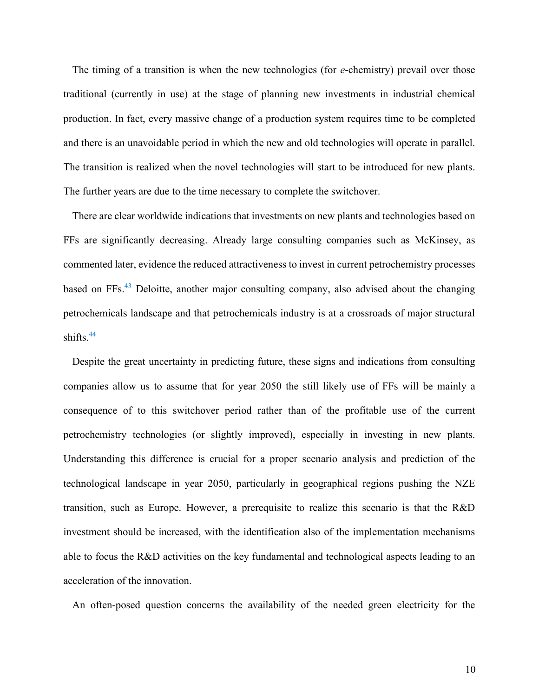The timing of a transition is when the new technologies (for *e*-chemistry) prevail over those traditional (currently in use) at the stage of planning new investments in industrial chemical production. In fact, every massive change of a production system requires time to be completed and there is an unavoidable period in which the new and old technologies will operate in parallel. The transition is realized when the novel technologies will start to be introduced for new plants. The further years are due to the time necessary to complete the switchover.

There are clear worldwide indications that investments on new plants and technologies based on FFs are significantly decreasing. Already large consulting companies such as McKinsey, as commented later, evidence the reduced attractiveness to invest in current petrochemistry processes based on FFs.<sup>43</sup> Deloitte, another major consulting company, also advised about the changing petrochemicals landscape and that petrochemicals industry is at a crossroads of major structural shifts. $44$ 

Despite the great uncertainty in predicting future, these signs and indications from consulting companies allow us to assume that for year 2050 the still likely use of FFs will be mainly a consequence of to this switchover period rather than of the profitable use of the current petrochemistry technologies (or slightly improved), especially in investing in new plants. Understanding this difference is crucial for a proper scenario analysis and prediction of the technological landscape in year 2050, particularly in geographical regions pushing the NZE transition, such as Europe. However, a prerequisite to realize this scenario is that the R&D investment should be increased, with the identification also of the implementation mechanisms able to focus the R&D activities on the key fundamental and technological aspects leading to an acceleration of the innovation.

An often-posed question concerns the availability of the needed green electricity for the

10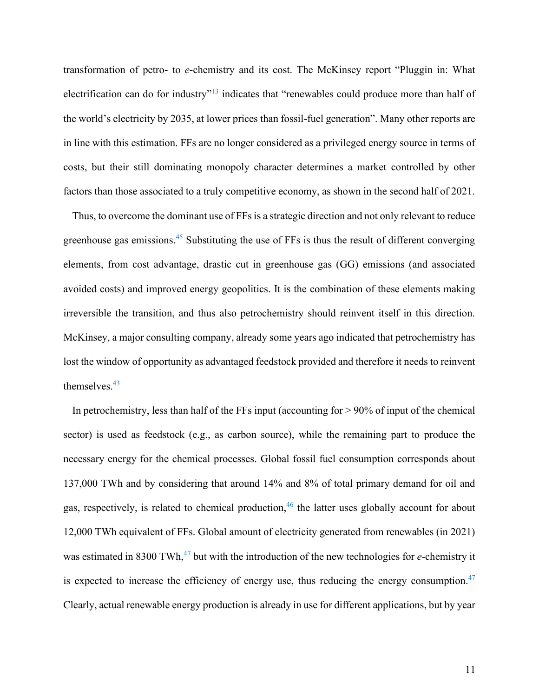transformation of petro- to *e*-chemistry and its cost. The McKinsey report "Pluggin in: What electrification can do for industry"<sup>13</sup> indicates that "renewables could produce more than half of the world's electricity by 2035, at lower prices than fossil-fuel generation". Many other reports are in line with this estimation. FFs are no longer considered as a privileged energy source in terms of costs, but their still dominating monopoly character determines a market controlled by other factors than those associated to a truly competitive economy, as shown in the second half of 2021.

Thus, to overcome the dominant use of FFs is a strategic direction and not only relevant to reduce greenhouse gas emissions.<sup>45</sup> Substituting the use of FFs is thus the result of different converging elements, from cost advantage, drastic cut in greenhouse gas (GG) emissions (and associated avoided costs) and improved energy geopolitics. It is the combination of these elements making irreversible the transition, and thus also petrochemistry should reinvent itself in this direction. McKinsey, a major consulting company, already some years ago indicated that petrochemistry has lost the window of opportunity as advantaged feedstock provided and therefore it needs to reinvent themselves.<sup>43</sup>

In petrochemistry, less than half of the FFs input (accounting for > 90% of input of the chemical sector) is used as feedstock (e.g., as carbon source), while the remaining part to produce the necessary energy for the chemical processes. Global fossil fuel consumption corresponds about 137,000 TWh and by considering that around 14% and 8% of total primary demand for oil and gas, respectively, is related to chemical production,<sup>46</sup> the latter uses globally account for about 12,000 TWh equivalent of FFs. Global amount of electricity generated from renewables (in 2021) was estimated in 8300 TWh, 47 but with the introduction of the new technologies for *e*-chemistry it is expected to increase the efficiency of energy use, thus reducing the energy consumption.<sup>47</sup> Clearly, actual renewable energy production is already in use for different applications, but by year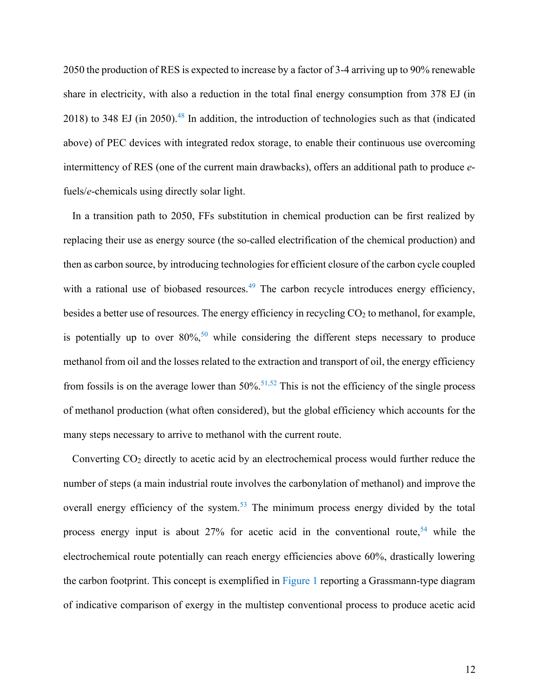2050 the production of RES is expected to increase by a factor of 3-4 arriving up to 90% renewable share in electricity, with also a reduction in the total final energy consumption from 378 EJ (in 2018) to 348 EJ (in 2050).<sup>48</sup> In addition, the introduction of technologies such as that (indicated above) of PEC devices with integrated redox storage, to enable their continuous use overcoming intermittency of RES (one of the current main drawbacks), offers an additional path to produce *e*fuels/*e*-chemicals using directly solar light.

In a transition path to 2050, FFs substitution in chemical production can be first realized by replacing their use as energy source (the so-called electrification of the chemical production) and then as carbon source, by introducing technologies for efficient closure of the carbon cycle coupled with a rational use of biobased resources.<sup>49</sup> The carbon recycle introduces energy efficiency, besides a better use of resources. The energy efficiency in recycling CO<sub>2</sub> to methanol, for example, is potentially up to over  $80\%,$ <sup>50</sup> while considering the different steps necessary to produce methanol from oil and the losses related to the extraction and transport of oil, the energy efficiency from fossils is on the average lower than  $50\%$ .<sup>51,52</sup> This is not the efficiency of the single process of methanol production (what often considered), but the global efficiency which accounts for the many steps necessary to arrive to methanol with the current route.

Converting CO<sub>2</sub> directly to acetic acid by an electrochemical process would further reduce the number of steps (a main industrial route involves the carbonylation of methanol) and improve the overall energy efficiency of the system.<sup>53</sup> The minimum process energy divided by the total process energy input is about  $27%$  for acetic acid in the conventional route,<sup>54</sup> while the electrochemical route potentially can reach energy efficiencies above 60%, drastically lowering the carbon footprint. This concept is exemplified in Figure 1 reporting a Grassmann-type diagram of indicative comparison of exergy in the multistep conventional process to produce acetic acid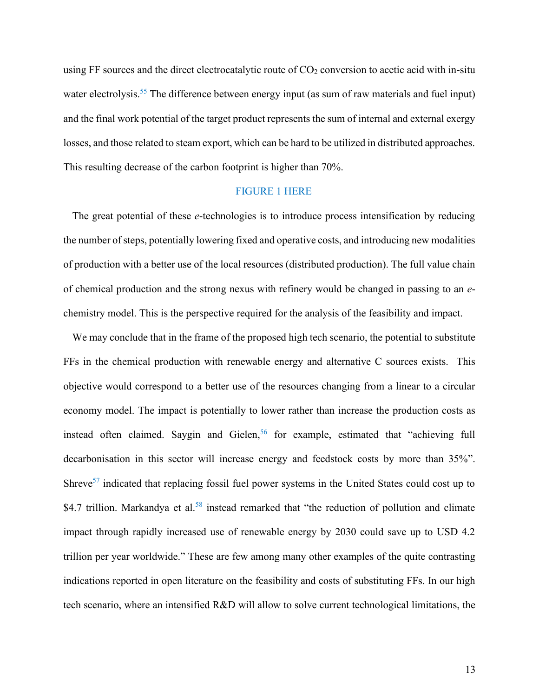using FF sources and the direct electrocatalytic route of  $CO<sub>2</sub>$  conversion to acetic acid with in-situ water electrolysis.<sup>55</sup> The difference between energy input (as sum of raw materials and fuel input) and the final work potential of the target product represents the sum of internal and external exergy losses, and those related to steam export, which can be hard to be utilized in distributed approaches. This resulting decrease of the carbon footprint is higher than 70%.

## FIGURE 1 HERE

The great potential of these *e*-technologies is to introduce process intensification by reducing the number of steps, potentially lowering fixed and operative costs, and introducing new modalities of production with a better use of the local resources (distributed production). The full value chain of chemical production and the strong nexus with refinery would be changed in passing to an *e*chemistry model. This is the perspective required for the analysis of the feasibility and impact.

We may conclude that in the frame of the proposed high tech scenario, the potential to substitute FFs in the chemical production with renewable energy and alternative C sources exists. This objective would correspond to a better use of the resources changing from a linear to a circular economy model. The impact is potentially to lower rather than increase the production costs as instead often claimed. Saygin and Gielen,<sup>56</sup> for example, estimated that "achieving full decarbonisation in this sector will increase energy and feedstock costs by more than 35%". Shreve<sup>57</sup> indicated that replacing fossil fuel power systems in the United States could cost up to \$4.7 trillion. Markandya et al.<sup>58</sup> instead remarked that "the reduction of pollution and climate impact through rapidly increased use of renewable energy by 2030 could save up to USD 4.2 trillion per year worldwide." These are few among many other examples of the quite contrasting indications reported in open literature on the feasibility and costs of substituting FFs. In our high tech scenario, where an intensified R&D will allow to solve current technological limitations, the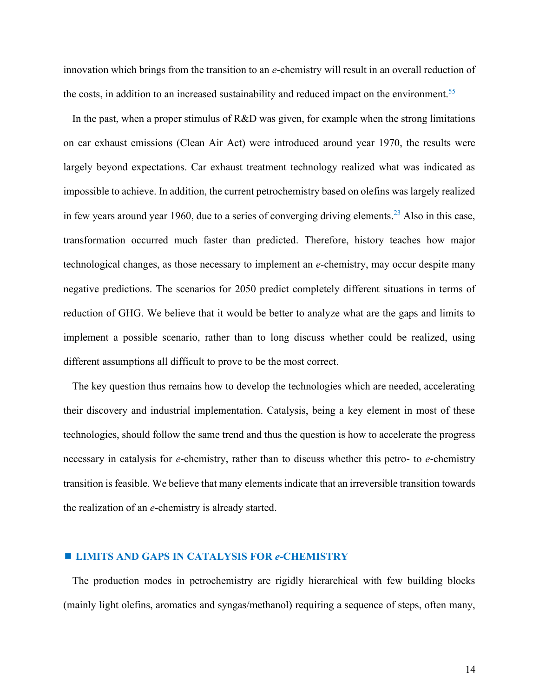innovation which brings from the transition to an *e*-chemistry will result in an overall reduction of the costs, in addition to an increased sustainability and reduced impact on the environment.<sup>55</sup>

In the past, when a proper stimulus of R&D was given, for example when the strong limitations on car exhaust emissions (Clean Air Act) were introduced around year 1970, the results were largely beyond expectations. Car exhaust treatment technology realized what was indicated as impossible to achieve. In addition, the current petrochemistry based on olefins was largely realized in few years around year 1960, due to a series of converging driving elements.<sup>23</sup> Also in this case, transformation occurred much faster than predicted. Therefore, history teaches how major technological changes, as those necessary to implement an *e*-chemistry, may occur despite many negative predictions. The scenarios for 2050 predict completely different situations in terms of reduction of GHG. We believe that it would be better to analyze what are the gaps and limits to implement a possible scenario, rather than to long discuss whether could be realized, using different assumptions all difficult to prove to be the most correct.

The key question thus remains how to develop the technologies which are needed, accelerating their discovery and industrial implementation. Catalysis, being a key element in most of these technologies, should follow the same trend and thus the question is how to accelerate the progress necessary in catalysis for *e*-chemistry, rather than to discuss whether this petro- to *e*-chemistry transition is feasible. We believe that many elements indicate that an irreversible transition towards the realization of an *e*-chemistry is already started.

#### **LIMITS AND GAPS IN CATALYSIS FOR** *e***-CHEMISTRY**

The production modes in petrochemistry are rigidly hierarchical with few building blocks (mainly light olefins, aromatics and syngas/methanol) requiring a sequence of steps, often many,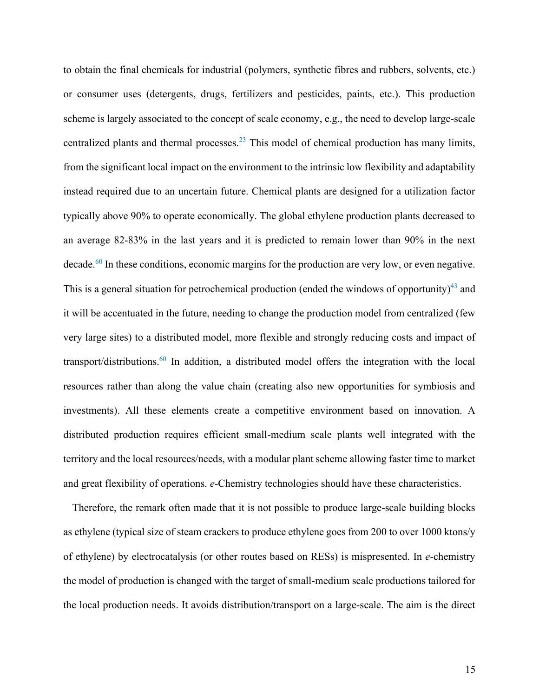to obtain the final chemicals for industrial (polymers, synthetic fibres and rubbers, solvents, etc.) or consumer uses (detergents, drugs, fertilizers and pesticides, paints, etc.). This production scheme is largely associated to the concept of scale economy, e.g., the need to develop large-scale centralized plants and thermal processes.<sup>23</sup> This model of chemical production has many limits, from the significant local impact on the environment to the intrinsic low flexibility and adaptability instead required due to an uncertain future. Chemical plants are designed for a utilization factor typically above 90% to operate economically. The global ethylene production plants decreased to an average 82-83% in the last years and it is predicted to remain lower than 90% in the next decade.<sup>60</sup> In these conditions, economic margins for the production are very low, or even negative. This is a general situation for petrochemical production (ended the windows of opportunity) $^{43}$  and it will be accentuated in the future, needing to change the production model from centralized (few very large sites) to a distributed model, more flexible and strongly reducing costs and impact of transport/distributions.<sup>60</sup> In addition, a distributed model offers the integration with the local resources rather than along the value chain (creating also new opportunities for symbiosis and investments). All these elements create a competitive environment based on innovation. A distributed production requires efficient small-medium scale plants well integrated with the territory and the local resources/needs, with a modular plant scheme allowing faster time to market and great flexibility of operations. *e*-Chemistry technologies should have these characteristics.

Therefore, the remark often made that it is not possible to produce large-scale building blocks as ethylene (typical size of steam crackers to produce ethylene goes from 200 to over 1000 ktons/y of ethylene) by electrocatalysis (or other routes based on RESs) is mispresented. In *e*-chemistry the model of production is changed with the target of small-medium scale productions tailored for the local production needs. It avoids distribution/transport on a large-scale. The aim is the direct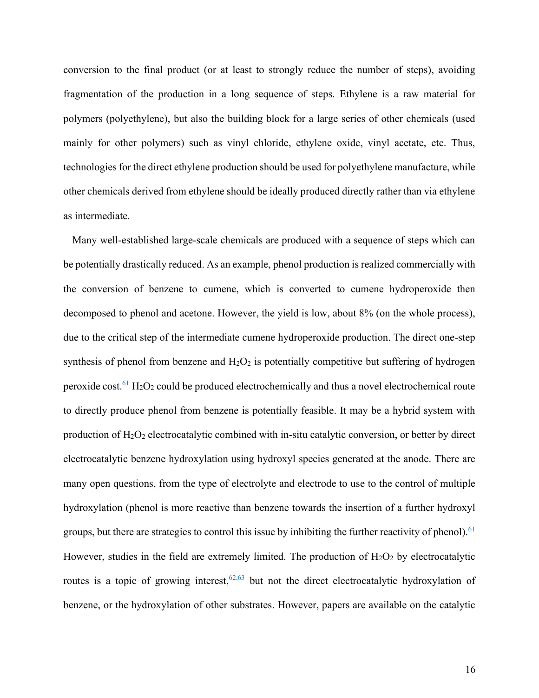conversion to the final product (or at least to strongly reduce the number of steps), avoiding fragmentation of the production in a long sequence of steps. Ethylene is a raw material for polymers (polyethylene), but also the building block for a large series of other chemicals (used mainly for other polymers) such as vinyl chloride, ethylene oxide, vinyl acetate, etc. Thus, technologies for the direct ethylene production should be used for polyethylene manufacture, while other chemicals derived from ethylene should be ideally produced directly rather than via ethylene as intermediate.

Many well-established large-scale chemicals are produced with a sequence of steps which can be potentially drastically reduced. As an example, phenol production is realized commercially with the conversion of benzene to cumene, which is converted to cumene hydroperoxide then decomposed to phenol and acetone. However, the yield is low, about 8% (on the whole process), due to the critical step of the intermediate cumene hydroperoxide production. The direct one-step synthesis of phenol from benzene and  $H_2O_2$  is potentially competitive but suffering of hydrogen peroxide cost.<sup>61</sup> H<sub>2</sub>O<sub>2</sub> could be produced electrochemically and thus a novel electrochemical route to directly produce phenol from benzene is potentially feasible. It may be a hybrid system with production of  $H_2O_2$  electrocatalytic combined with in-situ catalytic conversion, or better by direct electrocatalytic benzene hydroxylation using hydroxyl species generated at the anode. There are many open questions, from the type of electrolyte and electrode to use to the control of multiple hydroxylation (phenol is more reactive than benzene towards the insertion of a further hydroxyl groups, but there are strategies to control this issue by inhibiting the further reactivity of phenol).  $61$ However, studies in the field are extremely limited. The production of  $H_2O_2$  by electrocatalytic routes is a topic of growing interest,  $62,63$  but not the direct electrocatalytic hydroxylation of benzene, or the hydroxylation of other substrates. However, papers are available on the catalytic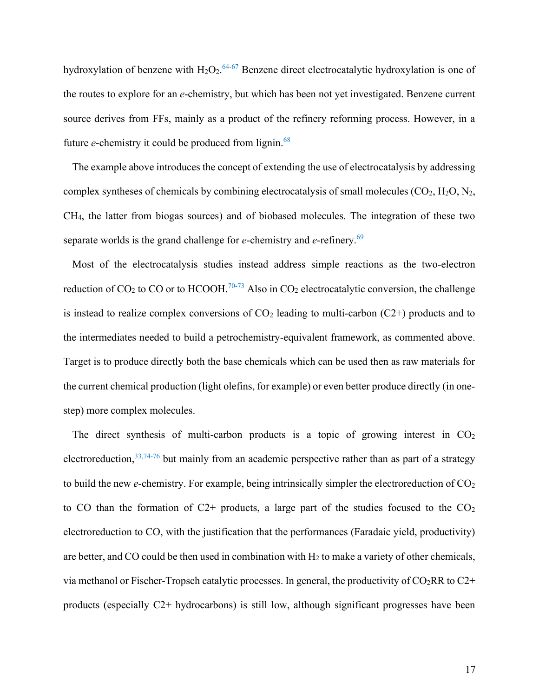hydroxylation of benzene with  $H_2O_2$ .<sup>64-67</sup> Benzene direct electrocatalytic hydroxylation is one of the routes to explore for an *e*-chemistry, but which has been not yet investigated. Benzene current source derives from FFs, mainly as a product of the refinery reforming process. However, in a future *e*-chemistry it could be produced from lignin.<sup>68</sup>

The example above introduces the concept of extending the use of electrocatalysis by addressing complex syntheses of chemicals by combining electrocatalysis of small molecules  $(CO_2, H_2O, N_2,$ CH4, the latter from biogas sources) and of biobased molecules. The integration of these two separate worlds is the grand challenge for *e*-chemistry and *e*-refinery.<sup>69</sup>

Most of the electrocatalysis studies instead address simple reactions as the two-electron reduction of CO<sub>2</sub> to CO or to HCOOH.<sup>70-73</sup> Also in CO<sub>2</sub> electrocatalytic conversion, the challenge is instead to realize complex conversions of  $CO<sub>2</sub>$  leading to multi-carbon ( $C<sub>2</sub>$ +) products and to the intermediates needed to build a petrochemistry-equivalent framework, as commented above. Target is to produce directly both the base chemicals which can be used then as raw materials for the current chemical production (light olefins, for example) or even better produce directly (in onestep) more complex molecules.

The direct synthesis of multi-carbon products is a topic of growing interest in  $CO<sub>2</sub>$ electroreduction,  $33,74-76$  but mainly from an academic perspective rather than as part of a strategy to build the new *e*-chemistry. For example, being intrinsically simpler the electroreduction of CO<sub>2</sub> to CO than the formation of  $C2+$  products, a large part of the studies focused to the  $CO<sub>2</sub>$ electroreduction to CO, with the justification that the performances (Faradaic yield, productivity) are better, and CO could be then used in combination with  $H_2$  to make a variety of other chemicals, via methanol or Fischer-Tropsch catalytic processes. In general, the productivity of  $CO<sub>2</sub>RR$  to  $C<sub>2</sub>$ + products (especially C2+ hydrocarbons) is still low, although significant progresses have been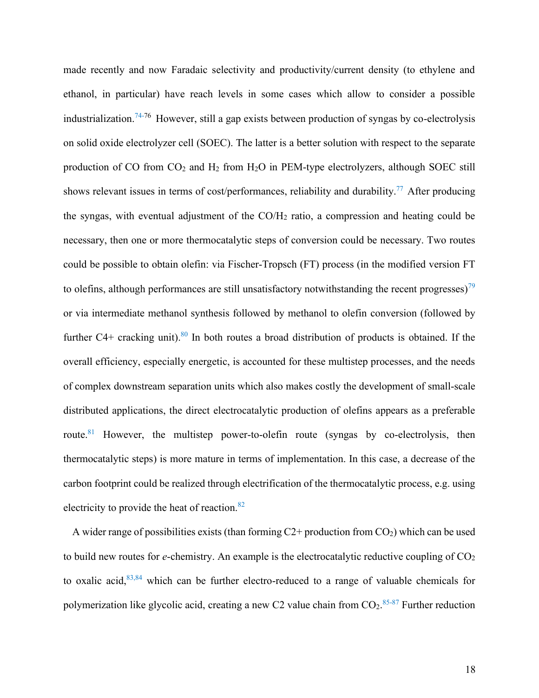made recently and now Faradaic selectivity and productivity/current density (to ethylene and ethanol, in particular) have reach levels in some cases which allow to consider a possible industrialization.<sup>74-76</sup> However, still a gap exists between production of syngas by co-electrolysis on solid oxide electrolyzer cell (SOEC). The latter is a better solution with respect to the separate production of CO from  $CO_2$  and  $H_2$  from  $H_2O$  in PEM-type electrolyzers, although SOEC still shows relevant issues in terms of cost/performances, reliability and durability.<sup>77</sup> After producing the syngas, with eventual adjustment of the  $CO/H<sub>2</sub>$  ratio, a compression and heating could be necessary, then one or more thermocatalytic steps of conversion could be necessary. Two routes could be possible to obtain olefin: via Fischer-Tropsch (FT) process (in the modified version FT to olefins, although performances are still unsatisfactory notwithstanding the recent progresses)<sup>79</sup> or via intermediate methanol synthesis followed by methanol to olefin conversion (followed by further  $C4+$  cracking unit).<sup>80</sup> In both routes a broad distribution of products is obtained. If the overall efficiency, especially energetic, is accounted for these multistep processes, and the needs of complex downstream separation units which also makes costly the development of small-scale distributed applications, the direct electrocatalytic production of olefins appears as a preferable route.<sup>81</sup> However, the multistep power-to-olefin route (syngas by co-electrolysis, then thermocatalytic steps) is more mature in terms of implementation. In this case, a decrease of the carbon footprint could be realized through electrification of the thermocatalytic process, e.g. using electricity to provide the heat of reaction.<sup>82</sup>

A wider range of possibilities exists (than forming  $C2+$  production from  $CO<sub>2</sub>$ ) which can be used to build new routes for *e*-chemistry. An example is the electrocatalytic reductive coupling of CO<sub>2</sub> to oxalic acid, $83,84$  which can be further electro-reduced to a range of valuable chemicals for polymerization like glycolic acid, creating a new C2 value chain from  $CO_2$ .<sup>85-87</sup> Further reduction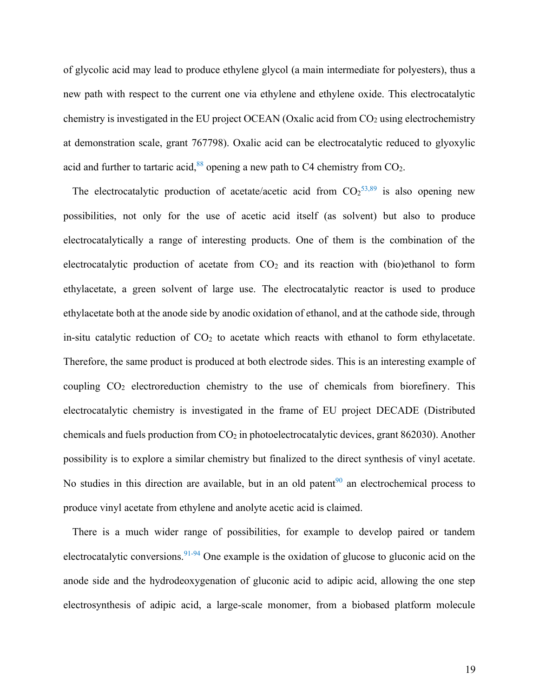of glycolic acid may lead to produce ethylene glycol (a main intermediate for polyesters), thus a new path with respect to the current one via ethylene and ethylene oxide. This electrocatalytic chemistry is investigated in the EU project OCEAN (Oxalic acid from  $CO<sub>2</sub>$  using electrochemistry at demonstration scale, grant 767798). Oxalic acid can be electrocatalytic reduced to glyoxylic acid and further to tartaric acid,  $88$  opening a new path to C4 chemistry from CO<sub>2</sub>.

The electrocatalytic production of acetate/acetic acid from  $CO<sub>2</sub>53,89$  is also opening new possibilities, not only for the use of acetic acid itself (as solvent) but also to produce electrocatalytically a range of interesting products. One of them is the combination of the electrocatalytic production of acetate from  $CO<sub>2</sub>$  and its reaction with (bio)ethanol to form ethylacetate, a green solvent of large use. The electrocatalytic reactor is used to produce ethylacetate both at the anode side by anodic oxidation of ethanol, and at the cathode side, through in-situ catalytic reduction of  $CO<sub>2</sub>$  to acetate which reacts with ethanol to form ethylacetate. Therefore, the same product is produced at both electrode sides. This is an interesting example of coupling CO<sup>2</sup> electroreduction chemistry to the use of chemicals from biorefinery. This electrocatalytic chemistry is investigated in the frame of EU project DECADE (Distributed chemicals and fuels production from  $CO<sub>2</sub>$  in photoelectrocatalytic devices, grant 862030). Another possibility is to explore a similar chemistry but finalized to the direct synthesis of vinyl acetate. No studies in this direction are available, but in an old patent $90$  an electrochemical process to produce vinyl acetate from ethylene and anolyte acetic acid is claimed.

There is a much wider range of possibilities, for example to develop paired or tandem electrocatalytic conversions.<sup>91-94</sup> One example is the oxidation of glucose to gluconic acid on the anode side and the hydrodeoxygenation of gluconic acid to adipic acid, allowing the one step electrosynthesis of adipic acid, a large-scale monomer, from a biobased platform molecule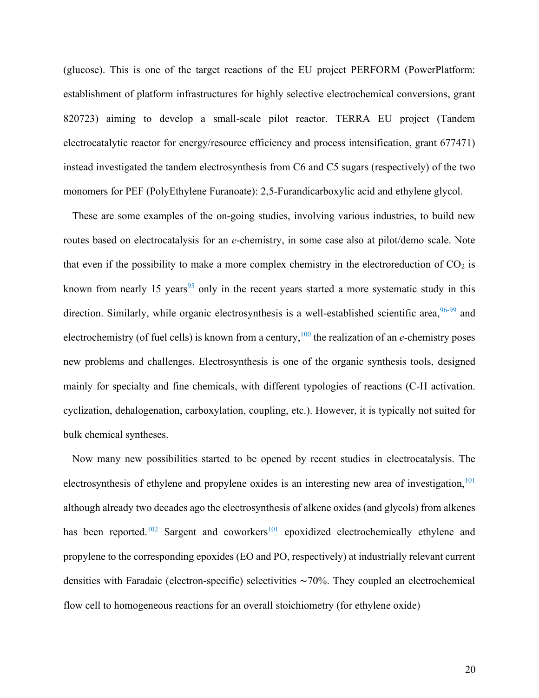(glucose). This is one of the target reactions of the EU project PERFORM (PowerPlatform: establishment of platform infrastructures for highly selective electrochemical conversions, grant 820723) aiming to develop a small-scale pilot reactor. TERRA EU project (Tandem electrocatalytic reactor for energy/resource efficiency and process intensification, grant 677471) instead investigated the tandem electrosynthesis from C6 and C5 sugars (respectively) of the two monomers for PEF (PolyEthylene Furanoate): 2,5-Furandicarboxylic acid and ethylene glycol.

These are some examples of the on-going studies, involving various industries, to build new routes based on electrocatalysis for an *e*-chemistry, in some case also at pilot/demo scale. Note that even if the possibility to make a more complex chemistry in the electroreduction of  $CO<sub>2</sub>$  is known from nearly 15 years<sup>95</sup> only in the recent years started a more systematic study in this direction. Similarly, while organic electrosynthesis is a well-established scientific area, 96-99 and electrochemistry (of fuel cells) is known from a century,<sup>100</sup> the realization of an *e*-chemistry poses new problems and challenges. Electrosynthesis is one of the organic synthesis tools, designed mainly for specialty and fine chemicals, with different typologies of reactions (C-H activation. cyclization, dehalogenation, carboxylation, coupling, etc.). However, it is typically not suited for bulk chemical syntheses.

Now many new possibilities started to be opened by recent studies in electrocatalysis. The electrosynthesis of ethylene and propylene oxides is an interesting new area of investigation,  $101$ although already two decades ago the electrosynthesis of alkene oxides (and glycols) from alkenes has been reported.<sup>102</sup> Sargent and coworkers<sup>101</sup> epoxidized electrochemically ethylene and propylene to the corresponding epoxides (EO and PO, respectively) at industrially relevant current densities with Faradaic (electron-specific) selectivities ∼70%. They coupled an electrochemical flow cell to homogeneous reactions for an overall stoichiometry (for ethylene oxide)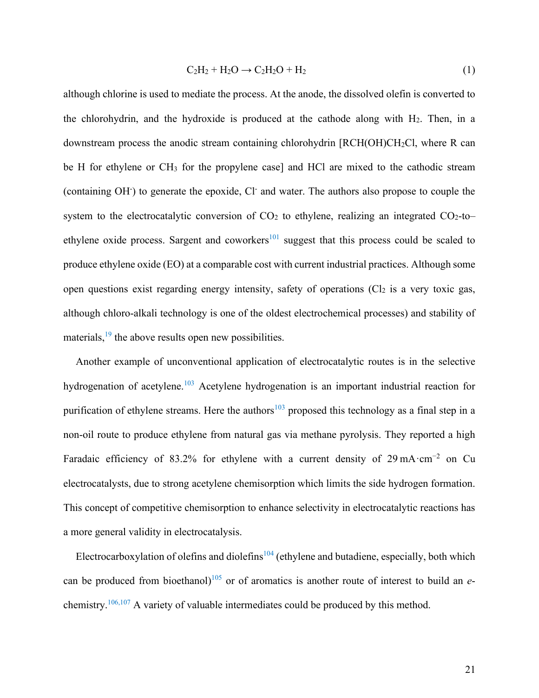$$
C_2H_2 + H_2O \rightarrow C_2H_2O + H_2
$$
\n<sup>(1)</sup>

although chlorine is used to mediate the process. At the anode, the dissolved olefin is converted to the chlorohydrin, and the hydroxide is produced at the cathode along with  $H_2$ . Then, in a downstream process the anodic stream containing chlorohydrin [RCH(OH)CH<sub>2</sub>Cl, where R can be H for ethylene or  $CH_3$  for the propylene case] and HCl are mixed to the cathodic stream (containing OH<sup>-</sup>) to generate the epoxide, Cl<sup>-</sup> and water. The authors also propose to couple the system to the electrocatalytic conversion of  $CO<sub>2</sub>$  to ethylene, realizing an integrated  $CO<sub>2</sub>$ -to– ethylene oxide process. Sargent and coworkers<sup>101</sup> suggest that this process could be scaled to produce ethylene oxide (EO) at a comparable cost with current industrial practices. Although some open questions exist regarding energy intensity, safety of operations  $(Cl<sub>2</sub>$  is a very toxic gas, although chloro-alkali technology is one of the oldest electrochemical processes) and stability of materials,  $19$  the above results open new possibilities.

Another example of unconventional application of electrocatalytic routes is in the selective hydrogenation of acetylene.<sup>103</sup> Acetylene hydrogenation is an important industrial reaction for purification of ethylene streams. Here the authors<sup>103</sup> proposed this technology as a final step in a non-oil route to produce ethylene from natural gas via methane pyrolysis. They reported a high Faradaic efficiency of 83.2% for ethylene with a current density of 29 mA·cm−2 on Cu electrocatalysts, due to strong acetylene chemisorption which limits the side hydrogen formation. This concept of competitive chemisorption to enhance selectivity in electrocatalytic reactions has a more general validity in electrocatalysis.

Electrocarboxylation of olefins and diolefins<sup> $104$ </sup> (ethylene and butadiene, especially, both which can be produced from bioethanol) <sup>105</sup> or of aromatics is another route of interest to build an *e*chemistry.106,107 A variety of valuable intermediates could be produced by this method.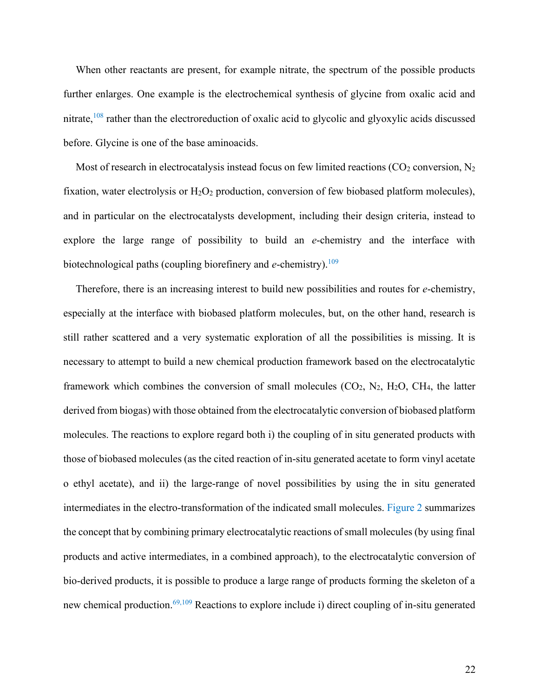When other reactants are present, for example nitrate, the spectrum of the possible products further enlarges. One example is the electrochemical synthesis of glycine from oxalic acid and nitrate,<sup>108</sup> rather than the electroreduction of oxalic acid to glycolic and glyoxylic acids discussed before. Glycine is one of the base aminoacids.

Most of research in electrocatalysis instead focus on few limited reactions ( $CO<sub>2</sub>$  conversion, N<sub>2</sub> fixation, water electrolysis or  $H_2O_2$  production, conversion of few biobased platform molecules), and in particular on the electrocatalysts development, including their design criteria, instead to explore the large range of possibility to build an *e*-chemistry and the interface with biotechnological paths (coupling biorefinery and *e*-chemistry).<sup>109</sup>

Therefore, there is an increasing interest to build new possibilities and routes for *e*-chemistry, especially at the interface with biobased platform molecules, but, on the other hand, research is still rather scattered and a very systematic exploration of all the possibilities is missing. It is necessary to attempt to build a new chemical production framework based on the electrocatalytic framework which combines the conversion of small molecules  $(CO_2, N_2, H_2O, CH_4,$  the latter derived from biogas) with those obtained from the electrocatalytic conversion of biobased platform molecules. The reactions to explore regard both i) the coupling of in situ generated products with those of biobased molecules (as the cited reaction of in-situ generated acetate to form vinyl acetate o ethyl acetate), and ii) the large-range of novel possibilities by using the in situ generated intermediates in the electro-transformation of the indicated small molecules. Figure 2 summarizes the concept that by combining primary electrocatalytic reactions of small molecules (by using final products and active intermediates, in a combined approach), to the electrocatalytic conversion of bio-derived products, it is possible to produce a large range of products forming the skeleton of a new chemical production.<sup>69,109</sup> Reactions to explore include i) direct coupling of in-situ generated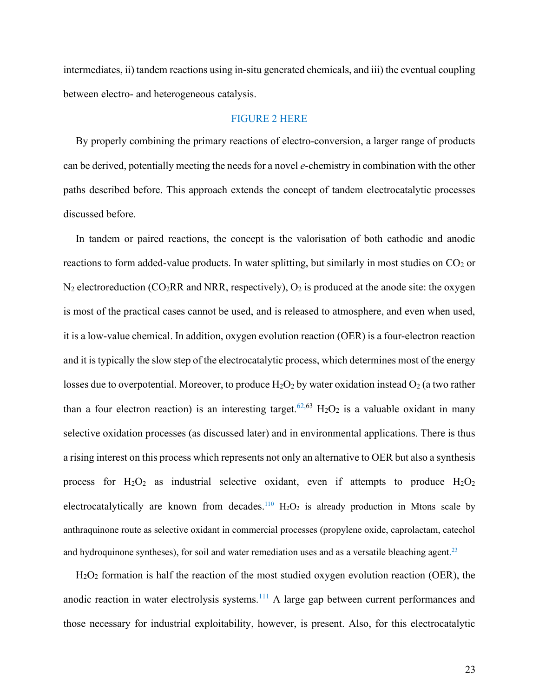intermediates, ii) tandem reactions using in-situ generated chemicals, and iii) the eventual coupling between electro- and heterogeneous catalysis.

## FIGURE 2 HERE

By properly combining the primary reactions of electro-conversion, a larger range of products can be derived, potentially meeting the needs for a novel *e*-chemistry in combination with the other paths described before. This approach extends the concept of tandem electrocatalytic processes discussed before.

In tandem or paired reactions, the concept is the valorisation of both cathodic and anodic reactions to form added-value products. In water splitting, but similarly in most studies on  $CO<sub>2</sub>$  or  $N_2$  electroreduction (CO<sub>2</sub>RR and NRR, respectively), O<sub>2</sub> is produced at the anode site: the oxygen is most of the practical cases cannot be used, and is released to atmosphere, and even when used, it is a low-value chemical. In addition, oxygen evolution reaction (OER) is a four-electron reaction and it is typically the slow step of the electrocatalytic process, which determines most of the energy losses due to overpotential. Moreover, to produce  $H_2O_2$  by water oxidation instead  $O_2$  (a two rather than a four electron reaction) is an interesting target.<sup>62,63</sup> H<sub>2</sub>O<sub>2</sub> is a valuable oxidant in many selective oxidation processes (as discussed later) and in environmental applications. There is thus a rising interest on this process which represents not only an alternative to OER but also a synthesis process for  $H_2O_2$  as industrial selective oxidant, even if attempts to produce  $H_2O_2$ electrocatalytically are known from decades.<sup>110</sup>  $H_2O_2$  is already production in Mtons scale by anthraquinone route as selective oxidant in commercial processes (propylene oxide, caprolactam, catechol and hydroquinone syntheses), for soil and water remediation uses and as a versatile bleaching agent.<sup>23</sup>

 $H<sub>2</sub>O<sub>2</sub>$  formation is half the reaction of the most studied oxygen evolution reaction (OER), the anodic reaction in water electrolysis systems.<sup>111</sup> A large gap between current performances and those necessary for industrial exploitability, however, is present. Also, for this electrocatalytic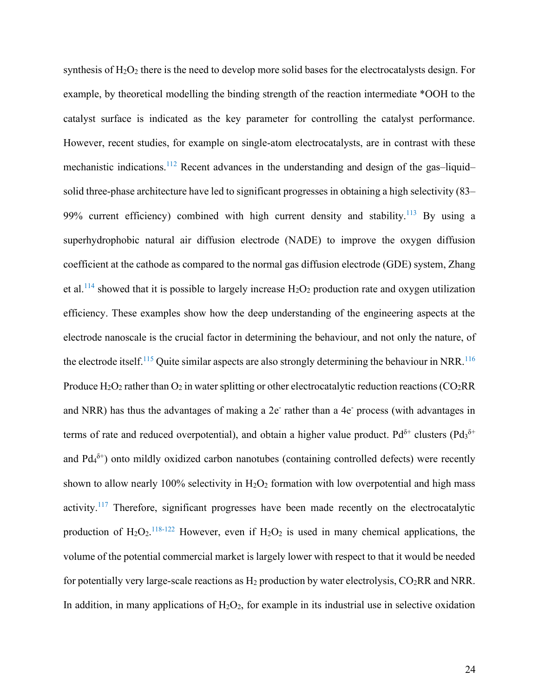synthesis of  $H_2O_2$  there is the need to develop more solid bases for the electrocatalysts design. For example, by theoretical modelling the binding strength of the reaction intermediate \*OOH to the catalyst surface is indicated as the key parameter for controlling the catalyst performance. However, recent studies, for example on single-atom electrocatalysts, are in contrast with these mechanistic indications.<sup>112</sup> Recent advances in the understanding and design of the gas-liquid– solid three-phase architecture have led to significant progresses in obtaining a high selectivity (83– 99% current efficiency) combined with high current density and stability.<sup>113</sup> By using a superhydrophobic natural air diffusion electrode (NADE) to improve the oxygen diffusion coefficient at the cathode as compared to the normal gas diffusion electrode (GDE) system, Zhang et al.<sup>114</sup> showed that it is possible to largely increase  $H_2O_2$  production rate and oxygen utilization efficiency. These examples show how the deep understanding of the engineering aspects at the electrode nanoscale is the crucial factor in determining the behaviour, and not only the nature, of the electrode itself.<sup>115</sup> Quite similar aspects are also strongly determining the behaviour in NRR.<sup>116</sup> Produce  $H_2O_2$  rather than  $O_2$  in water splitting or other electrocatalytic reduction reactions (CO<sub>2</sub>RR) and NRR) has thus the advantages of making a 2e rather than a 4e process (with advantages in terms of rate and reduced overpotential), and obtain a higher value product. Pd<sup> $\delta$ +</sup> clusters (Pd<sub>3</sub><sup> $\delta$ +</sup> and  $P d_4^{\delta^+}$ ) onto mildly oxidized carbon nanotubes (containing controlled defects) were recently shown to allow nearly 100% selectivity in  $H_2O_2$  formation with low overpotential and high mass activity.<sup>117</sup> Therefore, significant progresses have been made recently on the electrocatalytic production of  $H_2O_2$ .<sup>118-122</sup> However, even if  $H_2O_2$  is used in many chemical applications, the volume of the potential commercial market is largely lower with respect to that it would be needed for potentially very large-scale reactions as  $H_2$  production by water electrolysis,  $CO_2RR$  and NRR. In addition, in many applications of  $H_2O_2$ , for example in its industrial use in selective oxidation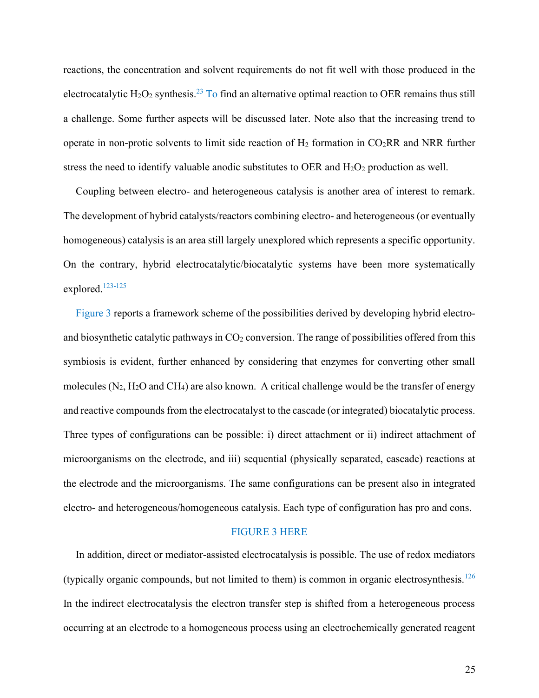reactions, the concentration and solvent requirements do not fit well with those produced in the electrocatalytic  $H_2O_2$  synthesis.<sup>23</sup> To find an alternative optimal reaction to OER remains thus still a challenge. Some further aspects will be discussed later. Note also that the increasing trend to operate in non-protic solvents to limit side reaction of  $H_2$  formation in CO<sub>2</sub>RR and NRR further stress the need to identify valuable anodic substitutes to OER and  $H_2O_2$  production as well.

Coupling between electro- and heterogeneous catalysis is another area of interest to remark. The development of hybrid catalysts/reactors combining electro- and heterogeneous (or eventually homogeneous) catalysis is an area still largely unexplored which represents a specific opportunity. On the contrary, hybrid electrocatalytic/biocatalytic systems have been more systematically explored.<sup>123-125</sup>

Figure 3 reports a framework scheme of the possibilities derived by developing hybrid electroand biosynthetic catalytic pathways in  $CO<sub>2</sub>$  conversion. The range of possibilities offered from this symbiosis is evident, further enhanced by considering that enzymes for converting other small molecules ( $N_2$ ,  $H_2O$  and  $CH_4$ ) are also known. A critical challenge would be the transfer of energy and reactive compounds from the electrocatalyst to the cascade (or integrated) biocatalytic process. Three types of configurations can be possible: i) direct attachment or ii) indirect attachment of microorganisms on the electrode, and iii) sequential (physically separated, cascade) reactions at the electrode and the microorganisms. The same configurations can be present also in integrated electro- and heterogeneous/homogeneous catalysis. Each type of configuration has pro and cons.

#### FIGURE 3 HERE

In addition, direct or mediator-assisted electrocatalysis is possible. The use of redox mediators (typically organic compounds, but not limited to them) is common in organic electrosynthesis.<sup>126</sup> In the indirect electrocatalysis the electron transfer step is shifted from a heterogeneous process occurring at an electrode to a homogeneous process using an electrochemically generated reagent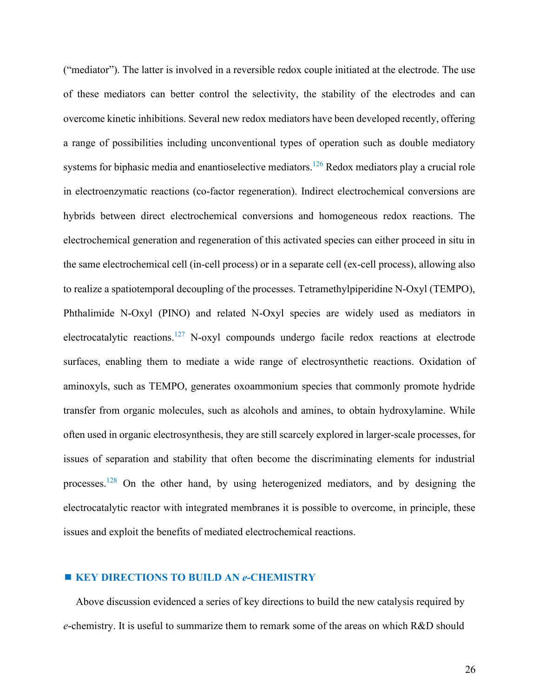("mediator"). The latter is involved in a reversible redox couple initiated at the electrode. The use of these mediators can better control the selectivity, the stability of the electrodes and can overcome kinetic inhibitions. Several new redox mediators have been developed recently, offering a range of possibilities including unconventional types of operation such as double mediatory systems for biphasic media and enantioselective mediators.<sup>126</sup> Redox mediators play a crucial role in electroenzymatic reactions (co-factor regeneration). Indirect electrochemical conversions are hybrids between direct electrochemical conversions and homogeneous redox reactions. The electrochemical generation and regeneration of this activated species can either proceed in situ in the same electrochemical cell (in-cell process) or in a separate cell (ex-cell process), allowing also to realize a spatiotemporal decoupling of the processes. Tetramethylpiperidine N-Oxyl (TEMPO), Phthalimide N-Oxyl (PINO) and related N-Oxyl species are widely used as mediators in electrocatalytic reactions.<sup>127</sup> N-oxyl compounds undergo facile redox reactions at electrode surfaces, enabling them to mediate a wide range of electrosynthetic reactions. Oxidation of aminoxyls, such as TEMPO, generates oxoammonium species that commonly promote hydride transfer from organic molecules, such as alcohols and amines, to obtain hydroxylamine. While often used in organic electrosynthesis, they are still scarcely explored in larger-scale processes, for issues of separation and stability that often become the discriminating elements for industrial processes.<sup>128</sup> On the other hand, by using heterogenized mediators, and by designing the electrocatalytic reactor with integrated membranes it is possible to overcome, in principle, these issues and exploit the benefits of mediated electrochemical reactions.

# **KEY DIRECTIONS TO BUILD AN** *e***-CHEMISTRY**

Above discussion evidenced a series of key directions to build the new catalysis required by *e*-chemistry. It is useful to summarize them to remark some of the areas on which R&D should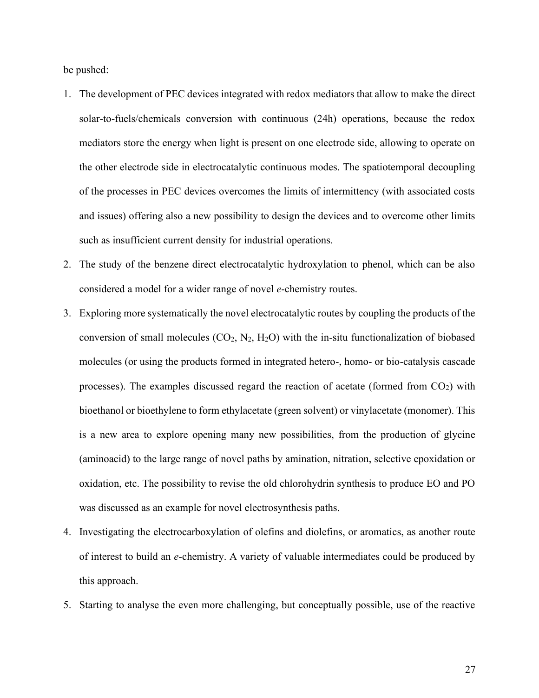be pushed:

- 1. The development of PEC devices integrated with redox mediators that allow to make the direct solar-to-fuels/chemicals conversion with continuous (24h) operations, because the redox mediators store the energy when light is present on one electrode side, allowing to operate on the other electrode side in electrocatalytic continuous modes. The spatiotemporal decoupling of the processes in PEC devices overcomes the limits of intermittency (with associated costs and issues) offering also a new possibility to design the devices and to overcome other limits such as insufficient current density for industrial operations.
- 2. The study of the benzene direct electrocatalytic hydroxylation to phenol, which can be also considered a model for a wider range of novel *e*-chemistry routes.
- 3. Exploring more systematically the novel electrocatalytic routes by coupling the products of the conversion of small molecules  $(CO_2, N_2, H_2O)$  with the in-situ functionalization of biobased molecules (or using the products formed in integrated hetero-, homo- or bio-catalysis cascade processes). The examples discussed regard the reaction of acetate (formed from  $CO<sub>2</sub>$ ) with bioethanol or bioethylene to form ethylacetate (green solvent) or vinylacetate (monomer). This is a new area to explore opening many new possibilities, from the production of glycine (aminoacid) to the large range of novel paths by amination, nitration, selective epoxidation or oxidation, etc. The possibility to revise the old chlorohydrin synthesis to produce EO and PO was discussed as an example for novel electrosynthesis paths.
- 4. Investigating the electrocarboxylation of olefins and diolefins, or aromatics, as another route of interest to build an *e*-chemistry. A variety of valuable intermediates could be produced by this approach.
- 5. Starting to analyse the even more challenging, but conceptually possible, use of the reactive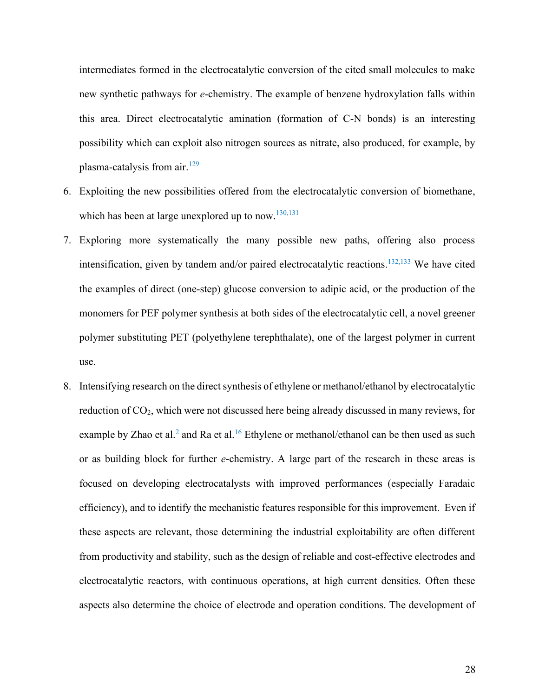intermediates formed in the electrocatalytic conversion of the cited small molecules to make new synthetic pathways for *e*-chemistry. The example of benzene hydroxylation falls within this area. Direct electrocatalytic amination (formation of C-N bonds) is an interesting possibility which can exploit also nitrogen sources as nitrate, also produced, for example, by plasma-catalysis from air.<sup>129</sup>

- 6. Exploiting the new possibilities offered from the electrocatalytic conversion of biomethane, which has been at large unexplored up to now.<sup>130,131</sup>
- 7. Exploring more systematically the many possible new paths, offering also process intensification, given by tandem and/or paired electrocatalytic reactions.<sup>132,133</sup> We have cited the examples of direct (one-step) glucose conversion to adipic acid, or the production of the monomers for PEF polymer synthesis at both sides of the electrocatalytic cell, a novel greener polymer substituting PET (polyethylene terephthalate), one of the largest polymer in current use.
- 8. Intensifying research on the direct synthesis of ethylene or methanol/ethanol by electrocatalytic reduction of CO<sub>2</sub>, which were not discussed here being already discussed in many reviews, for example by Zhao et al.<sup>2</sup> and Ra et al.<sup>16</sup> Ethylene or methanol/ethanol can be then used as such or as building block for further *e*-chemistry. A large part of the research in these areas is focused on developing electrocatalysts with improved performances (especially Faradaic efficiency), and to identify the mechanistic features responsible for this improvement. Even if these aspects are relevant, those determining the industrial exploitability are often different from productivity and stability, such as the design of reliable and cost-effective electrodes and electrocatalytic reactors, with continuous operations, at high current densities. Often these aspects also determine the choice of electrode and operation conditions. The development of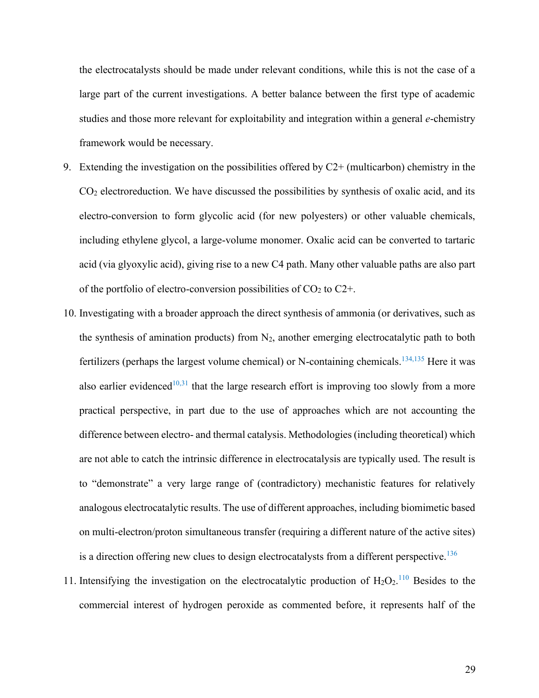the electrocatalysts should be made under relevant conditions, while this is not the case of a large part of the current investigations. A better balance between the first type of academic studies and those more relevant for exploitability and integration within a general *e*-chemistry framework would be necessary.

- 9. Extending the investigation on the possibilities offered by  $C2+$  (multicarbon) chemistry in the  $CO<sub>2</sub>$  electroreduction. We have discussed the possibilities by synthesis of oxalic acid, and its electro-conversion to form glycolic acid (for new polyesters) or other valuable chemicals, including ethylene glycol, a large-volume monomer. Oxalic acid can be converted to tartaric acid (via glyoxylic acid), giving rise to a new C4 path. Many other valuable paths are also part of the portfolio of electro-conversion possibilities of  $CO<sub>2</sub>$  to  $C2+$ .
- 10. Investigating with a broader approach the direct synthesis of ammonia (or derivatives, such as the synthesis of amination products) from  $N_2$ , another emerging electrocatalytic path to both fertilizers (perhaps the largest volume chemical) or N-containing chemicals.<sup>134,135</sup> Here it was also earlier evidenced<sup>10,31</sup> that the large research effort is improving too slowly from a more practical perspective, in part due to the use of approaches which are not accounting the difference between electro- and thermal catalysis. Methodologies (including theoretical) which are not able to catch the intrinsic difference in electrocatalysis are typically used. The result is to "demonstrate" a very large range of (contradictory) mechanistic features for relatively analogous electrocatalytic results. The use of different approaches, including biomimetic based on multi-electron/proton simultaneous transfer (requiring a different nature of the active sites) is a direction offering new clues to design electrocatalysts from a different perspective.<sup>136</sup>
- 11. Intensifying the investigation on the electrocatalytic production of  $H_2O_2$ .<sup>110</sup> Besides to the commercial interest of hydrogen peroxide as commented before, it represents half of the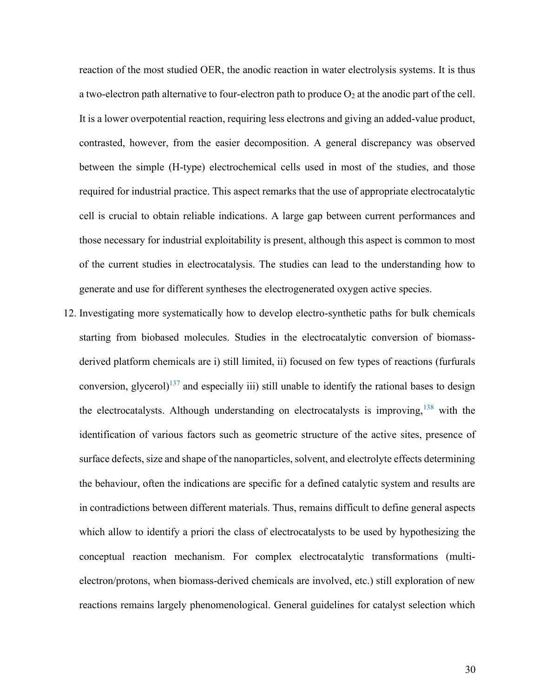reaction of the most studied OER, the anodic reaction in water electrolysis systems. It is thus a two-electron path alternative to four-electron path to produce  $O_2$  at the anodic part of the cell. It is a lower overpotential reaction, requiring less electrons and giving an added-value product, contrasted, however, from the easier decomposition. A general discrepancy was observed between the simple (H-type) electrochemical cells used in most of the studies, and those required for industrial practice. This aspect remarks that the use of appropriate electrocatalytic cell is crucial to obtain reliable indications. A large gap between current performances and those necessary for industrial exploitability is present, although this aspect is common to most of the current studies in electrocatalysis. The studies can lead to the understanding how to generate and use for different syntheses the electrogenerated oxygen active species.

12. Investigating more systematically how to develop electro-synthetic paths for bulk chemicals starting from biobased molecules. Studies in the electrocatalytic conversion of biomassderived platform chemicals are i) still limited, ii) focused on few types of reactions (furfurals conversion, glycerol)<sup>137</sup> and especially iii) still unable to identify the rational bases to design the electrocatalysts. Although understanding on electrocatalysts is improving,  $138$  with the identification of various factors such as geometric structure of the active sites, presence of surface defects, size and shape of the nanoparticles, solvent, and electrolyte effects determining the behaviour, often the indications are specific for a defined catalytic system and results are in contradictions between different materials. Thus, remains difficult to define general aspects which allow to identify a priori the class of electrocatalysts to be used by hypothesizing the conceptual reaction mechanism. For complex electrocatalytic transformations (multielectron/protons, when biomass-derived chemicals are involved, etc.) still exploration of new reactions remains largely phenomenological. General guidelines for catalyst selection which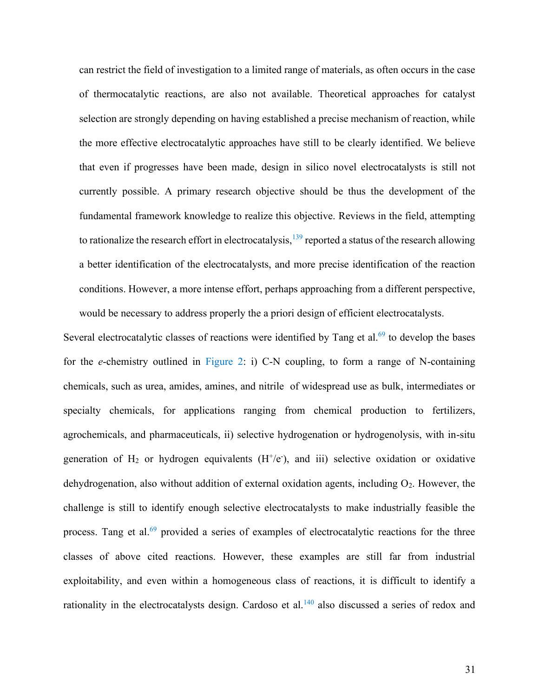can restrict the field of investigation to a limited range of materials, as often occurs in the case of thermocatalytic reactions, are also not available. Theoretical approaches for catalyst selection are strongly depending on having established a precise mechanism of reaction, while the more effective electrocatalytic approaches have still to be clearly identified. We believe that even if progresses have been made, design in silico novel electrocatalysts is still not currently possible. A primary research objective should be thus the development of the fundamental framework knowledge to realize this objective. Reviews in the field, attempting to rationalize the research effort in electrocatalysis,  $^{139}$  reported a status of the research allowing a better identification of the electrocatalysts, and more precise identification of the reaction conditions. However, a more intense effort, perhaps approaching from a different perspective, would be necessary to address properly the a priori design of efficient electrocatalysts.

Several electrocatalytic classes of reactions were identified by Tang et al. $69$  to develop the bases for the *e*-chemistry outlined in Figure 2: i) C-N coupling, to form a range of N-containing chemicals, such as urea, amides, amines, and nitrile of widespread use as bulk, intermediates or specialty chemicals, for applications ranging from chemical production to fertilizers, agrochemicals, and pharmaceuticals, ii) selective hydrogenation or hydrogenolysis, with in-situ generation of  $H_2$  or hydrogen equivalents  $(H^+ / e^-)$ , and iii) selective oxidation or oxidative dehydrogenation, also without addition of external oxidation agents, including  $O_2$ . However, the challenge is still to identify enough selective electrocatalysts to make industrially feasible the process. Tang et al. $69$  provided a series of examples of electrocatalytic reactions for the three classes of above cited reactions. However, these examples are still far from industrial exploitability, and even within a homogeneous class of reactions, it is difficult to identify a rationality in the electrocatalysts design. Cardoso et al.<sup>140</sup> also discussed a series of redox and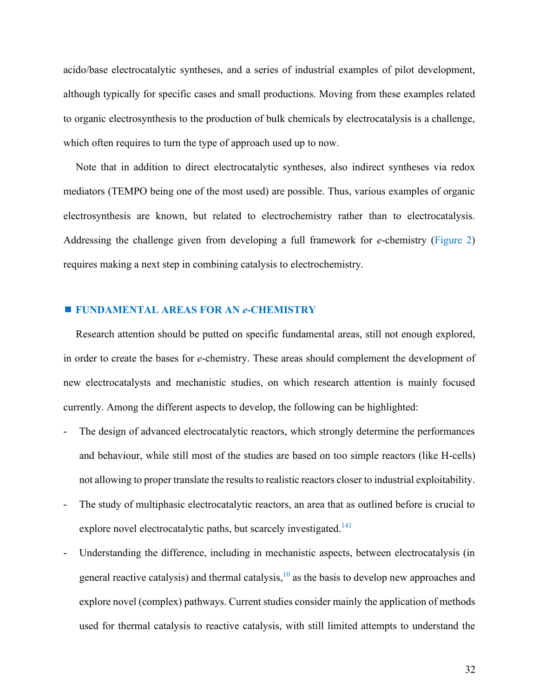acido/base electrocatalytic syntheses, and a series of industrial examples of pilot development, although typically for specific cases and small productions. Moving from these examples related to organic electrosynthesis to the production of bulk chemicals by electrocatalysis is a challenge, which often requires to turn the type of approach used up to now.

Note that in addition to direct electrocatalytic syntheses, also indirect syntheses via redox mediators (TEMPO being one of the most used) are possible. Thus, various examples of organic electrosynthesis are known, but related to electrochemistry rather than to electrocatalysis. Addressing the challenge given from developing a full framework for *e*-chemistry (Figure 2) requires making a next step in combining catalysis to electrochemistry.

# **FUNDAMENTAL AREAS FOR AN** *e***-CHEMISTRY**

Research attention should be putted on specific fundamental areas, still not enough explored, in order to create the bases for *e*-chemistry. These areas should complement the development of new electrocatalysts and mechanistic studies, on which research attention is mainly focused currently. Among the different aspects to develop, the following can be highlighted:

- The design of advanced electrocatalytic reactors, which strongly determine the performances and behaviour, while still most of the studies are based on too simple reactors (like H-cells) not allowing to proper translate the results to realistic reactors closer to industrial exploitability.
- The study of multiphasic electrocatalytic reactors, an area that as outlined before is crucial to explore novel electrocatalytic paths, but scarcely investigated.<sup>141</sup>
- Understanding the difference, including in mechanistic aspects, between electrocatalysis (in general reactive catalysis) and thermal catalysis, $10$  as the basis to develop new approaches and explore novel (complex) pathways. Current studies consider mainly the application of methods used for thermal catalysis to reactive catalysis, with still limited attempts to understand the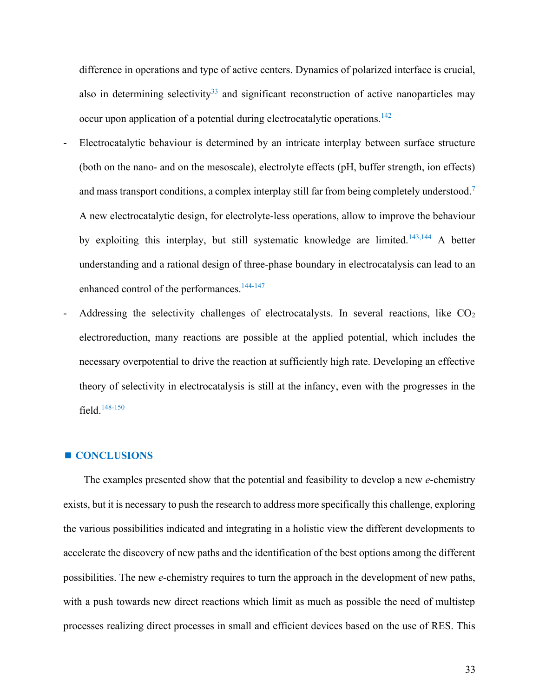difference in operations and type of active centers. Dynamics of polarized interface is crucial, also in determining selectivity<sup>33</sup> and significant reconstruction of active nanoparticles may occur upon application of a potential during electrocatalytic operations.<sup>142</sup>

- Electrocatalytic behaviour is determined by an intricate interplay between surface structure (both on the nano- and on the mesoscale), electrolyte effects (pH, buffer strength, ion effects) and mass transport conditions, a complex interplay still far from being completely understood.<sup>7</sup> A new electrocatalytic design, for electrolyte-less operations, allow to improve the behaviour by exploiting this interplay, but still systematic knowledge are limited.<sup>143,144</sup> A better understanding and a rational design of three-phase boundary in electrocatalysis can lead to an enhanced control of the performances.<sup>144-147</sup>
- Addressing the selectivity challenges of electrocatalysts. In several reactions, like  $CO<sub>2</sub>$ electroreduction, many reactions are possible at the applied potential, which includes the necessary overpotential to drive the reaction at sufficiently high rate. Developing an effective theory of selectivity in electrocatalysis is still at the infancy, even with the progresses in the field. 148-150

#### **CONCLUSIONS**

 The examples presented show that the potential and feasibility to develop a new *e*-chemistry exists, but it is necessary to push the research to address more specifically this challenge, exploring the various possibilities indicated and integrating in a holistic view the different developments to accelerate the discovery of new paths and the identification of the best options among the different possibilities. The new *e*-chemistry requires to turn the approach in the development of new paths, with a push towards new direct reactions which limit as much as possible the need of multistep processes realizing direct processes in small and efficient devices based on the use of RES. This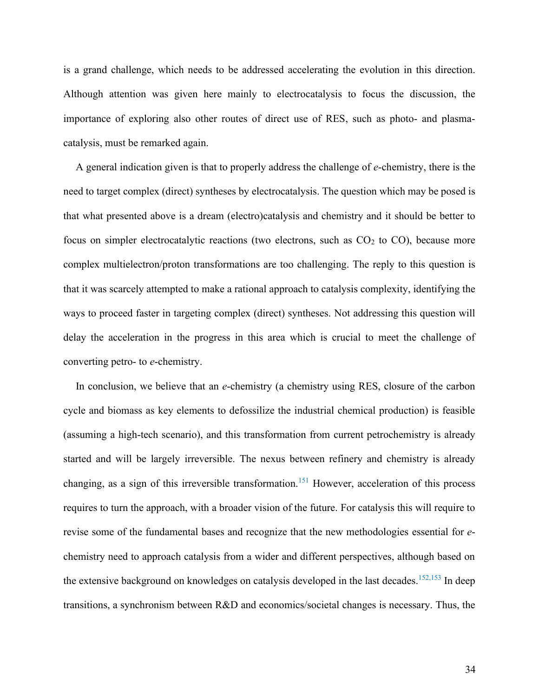is a grand challenge, which needs to be addressed accelerating the evolution in this direction. Although attention was given here mainly to electrocatalysis to focus the discussion, the importance of exploring also other routes of direct use of RES, such as photo- and plasmacatalysis, must be remarked again.

A general indication given is that to properly address the challenge of *e*-chemistry, there is the need to target complex (direct) syntheses by electrocatalysis. The question which may be posed is that what presented above is a dream (electro)catalysis and chemistry and it should be better to focus on simpler electrocatalytic reactions (two electrons, such as  $CO<sub>2</sub>$  to  $CO<sub>2</sub>$ ), because more complex multielectron/proton transformations are too challenging. The reply to this question is that it was scarcely attempted to make a rational approach to catalysis complexity, identifying the ways to proceed faster in targeting complex (direct) syntheses. Not addressing this question will delay the acceleration in the progress in this area which is crucial to meet the challenge of converting petro- to *e*-chemistry.

In conclusion, we believe that an *e*-chemistry (a chemistry using RES, closure of the carbon cycle and biomass as key elements to defossilize the industrial chemical production) is feasible (assuming a high-tech scenario), and this transformation from current petrochemistry is already started and will be largely irreversible. The nexus between refinery and chemistry is already changing, as a sign of this irreversible transformation.<sup>151</sup> However, acceleration of this process requires to turn the approach, with a broader vision of the future. For catalysis this will require to revise some of the fundamental bases and recognize that the new methodologies essential for *e*chemistry need to approach catalysis from a wider and different perspectives, although based on the extensive background on knowledges on catalysis developed in the last decades.  $152,153$  In deep transitions, a synchronism between R&D and economics/societal changes is necessary. Thus, the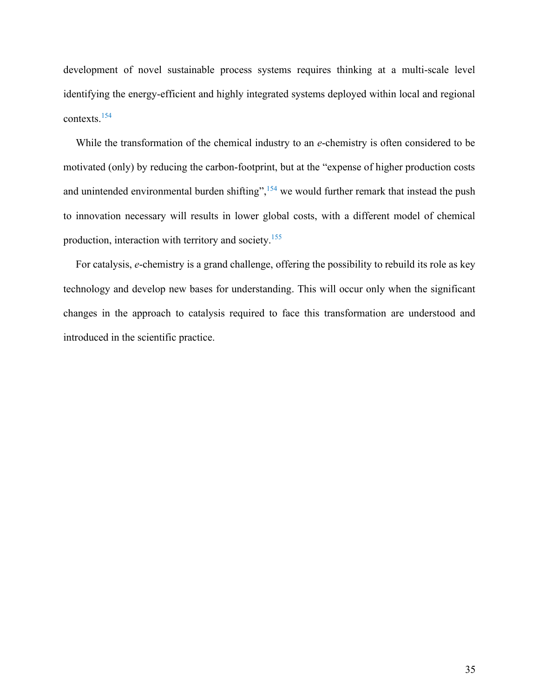development of novel sustainable process systems requires thinking at a multi-scale level identifying the energy-efficient and highly integrated systems deployed within local and regional contexts. 154

While the transformation of the chemical industry to an *e*-chemistry is often considered to be motivated (only) by reducing the carbon-footprint, but at the "expense of higher production costs and unintended environmental burden shifting",  $154$  we would further remark that instead the push to innovation necessary will results in lower global costs, with a different model of chemical production, interaction with territory and society.<sup>155</sup>

For catalysis, *e*-chemistry is a grand challenge, offering the possibility to rebuild its role as key technology and develop new bases for understanding. This will occur only when the significant changes in the approach to catalysis required to face this transformation are understood and introduced in the scientific practice.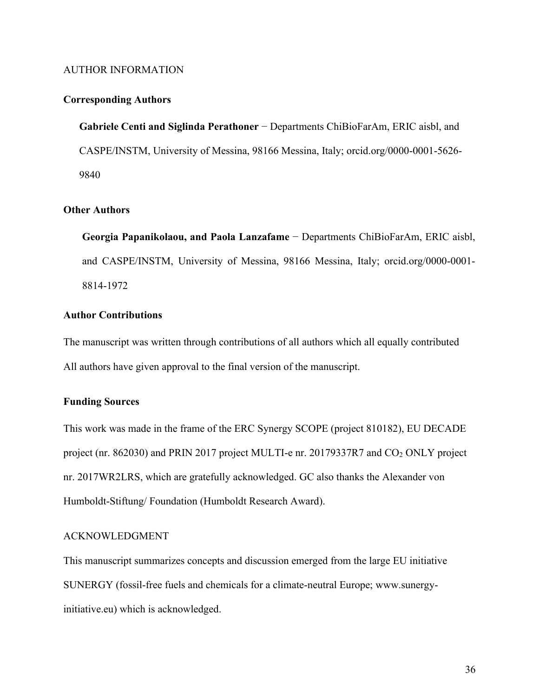## AUTHOR INFORMATION

## **Corresponding Authors**

**Gabriele Centi and Siglinda Perathoner** − Departments ChiBioFarAm, ERIC aisbl, and CASPE/INSTM, University of Messina, 98166 Messina, Italy; orcid.org/0000-0001-5626- 9840

# **Other Authors**

**Georgia Papanikolaou, and Paola Lanzafame** − Departments ChiBioFarAm, ERIC aisbl, and CASPE/INSTM, University of Messina, 98166 Messina, Italy; orcid.org/0000-0001- 8814-1972

# **Author Contributions**

The manuscript was written through contributions of all authors which all equally contributed All authors have given approval to the final version of the manuscript.

# **Funding Sources**

This work was made in the frame of the ERC Synergy SCOPE (project 810182), EU DECADE project (nr. 862030) and PRIN 2017 project MULTI-e nr. 20179337R7 and CO<sub>2</sub> ONLY project nr. 2017WR2LRS, which are gratefully acknowledged. GC also thanks the Alexander von Humboldt-Stiftung/ Foundation (Humboldt Research Award).

#### ACKNOWLEDGMENT

This manuscript summarizes concepts and discussion emerged from the large EU initiative SUNERGY (fossil-free fuels and chemicals for a climate-neutral Europe; www.sunergyinitiative.eu) which is acknowledged.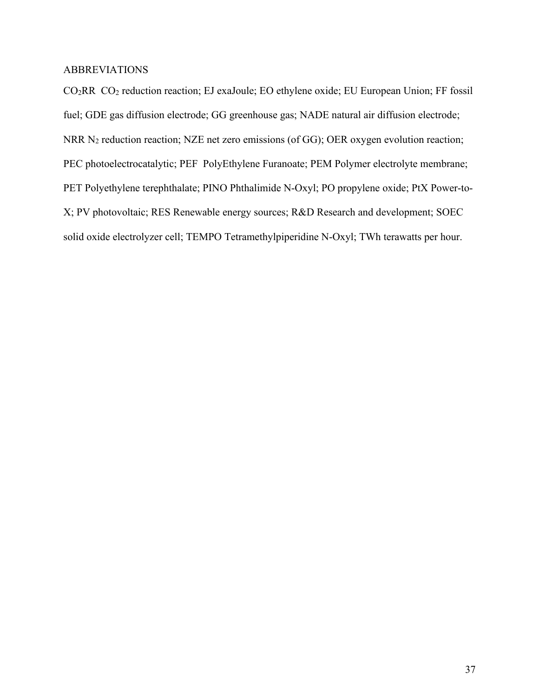# ABBREVIATIONS

CO2RR CO<sup>2</sup> reduction reaction; EJ exaJoule; EO ethylene oxide; EU European Union; FF fossil fuel; GDE gas diffusion electrode; GG greenhouse gas; NADE natural air diffusion electrode; NRR N<sub>2</sub> reduction reaction; NZE net zero emissions (of GG); OER oxygen evolution reaction; PEC photoelectrocatalytic; PEF PolyEthylene Furanoate; PEM Polymer electrolyte membrane; PET Polyethylene terephthalate; PINO Phthalimide N-Oxyl; PO propylene oxide; PtX Power-to-X; PV photovoltaic; RES Renewable energy sources; R&D Research and development; SOEC solid oxide electrolyzer cell; TEMPO Tetramethylpiperidine N-Oxyl; TWh terawatts per hour.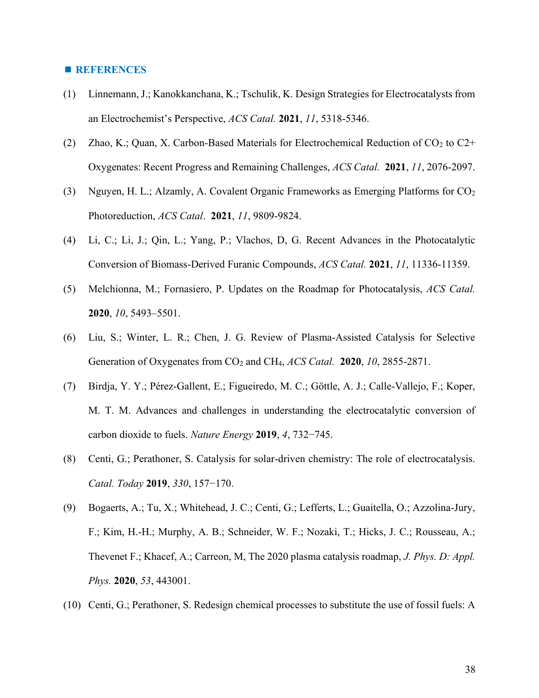#### **REFERENCES**

- (1) Linnemann, J.; Kanokkanchana, K.; Tschulik, K. Design Strategies for Electrocatalysts from an Electrochemist's Perspective, *ACS Catal.* **2021**, *11*, 5318-5346.
- (2) Zhao, K.; Quan, X. Carbon-Based Materials for Electrochemical Reduction of  $CO<sub>2</sub>$  to  $C<sub>2</sub>$ + Oxygenates: Recent Progress and Remaining Challenges, *ACS Catal.* **2021**, *11*, 2076-2097.
- (3) Nguyen, H. L.; Alzamly, A. Covalent Organic Frameworks as Emerging Platforms for  $CO<sub>2</sub>$ Photoreduction, *ACS Catal*. **2021**, *11*, 9809-9824.
- (4) Li, C.; Li, J.; Qin, L.; Yang, P.; Vlachos, D, G. Recent Advances in the Photocatalytic Conversion of Biomass-Derived Furanic Compounds, *ACS Catal.* **2021**, *11*, 11336-11359.
- (5) Melchionna, M.; Fornasiero, P. Updates on the Roadmap for Photocatalysis, *ACS Catal.* **2020**, *10*, 5493–5501.
- (6) Liu, S.; Winter, L. R.; Chen, J. G. Review of Plasma-Assisted Catalysis for Selective Generation of Oxygenates from CO<sup>2</sup> and CH4, *ACS Catal.* **2020**, *10*, 2855-2871.
- (7) Birdja, Y. Y.; Pérez-Gallent, E.; Figueiredo, M. C.; Göttle, A. J.; Calle-Vallejo, F.; Koper, M. T. M. Advances and challenges in understanding the electrocatalytic conversion of carbon dioxide to fuels. *Nature Energy* **2019**, *4*, 732−745.
- (8) Centi, G.; Perathoner, S. Catalysis for solar-driven chemistry: The role of electrocatalysis. *Catal. Today* **2019**, *330*, 157−170.
- (9) Bogaerts, A.; Tu, X.; Whitehead, J. C.; Centi, G.; Lefferts, L.; Guaitella, O.; Azzolina-Jury, F.; Kim, H.-H.; Murphy, A. B.; Schneider, W. F.; Nozaki, T.; Hicks, J. C.; Rousseau, A.; Thevenet F.; Khacef, A.; Carreon, M, The 2020 plasma catalysis roadmap, *J. Phys. D: Appl. Phys.* **2020**, *53*, 443001.
- (10) Centi, G.; Perathoner, S. Redesign chemical processes to substitute the use of fossil fuels: A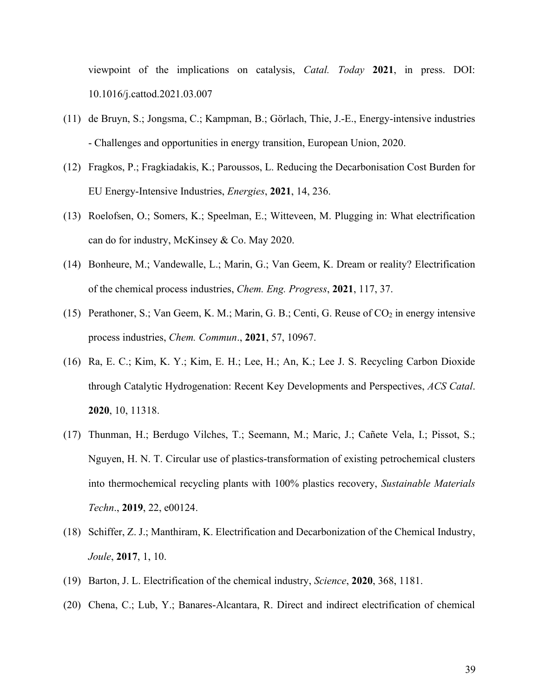viewpoint of the implications on catalysis, *Catal. Today* **2021**, in press. DOI: 10.1016/j.cattod.2021.03.007

- (11) de Bruyn, S.; Jongsma, C.; Kampman, B.; Görlach, Thie, J.-E., Energy-intensive industries - Challenges and opportunities in energy transition, European Union, 2020.
- (12) Fragkos, P.; Fragkiadakis, K.; Paroussos, L. Reducing the Decarbonisation Cost Burden for EU Energy-Intensive Industries, *Energies*, **2021**, 14, 236.
- (13) Roelofsen, O.; Somers, K.; Speelman, E.; Witteveen, M. Plugging in: What electrification can do for industry, McKinsey & Co. May 2020.
- (14) Bonheure, M.; Vandewalle, L.; Marin, G.; Van Geem, K. Dream or reality? Electrification of the chemical process industries, *Chem. Eng. Progress*, **2021**, 117, 37.
- (15) Perathoner, S.; Van Geem, K. M.; Marin, G. B.; Centi, G. Reuse of CO<sup>2</sup> in energy intensive process industries, *Chem. Commun*., **2021**, 57, 10967.
- (16) Ra, E. C.; Kim, K. Y.; Kim, E. H.; Lee, H.; An, K.; Lee J. S. Recycling Carbon Dioxide through Catalytic Hydrogenation: Recent Key Developments and Perspectives, *ACS Catal*. **2020**, 10, 11318.
- (17) Thunman, H.; Berdugo Vilches, T.; Seemann, M.; Maric, J.; Cañete Vela, I.; Pissot, S.; Nguyen, H. N. T. Circular use of plastics-transformation of existing petrochemical clusters into thermochemical recycling plants with 100% plastics recovery, *Sustainable Materials Techn*., **2019**, 22, e00124.
- (18) Schiffer, Z. J.; Manthiram, K. Electrification and Decarbonization of the Chemical Industry, *Joule*, **2017**, 1, 10.
- (19) Barton, J. L. Electrification of the chemical industry, *Science*, **2020**, 368, 1181.
- (20) Chena, C.; Lub, Y.; Banares-Alcantara, R. Direct and indirect electrification of chemical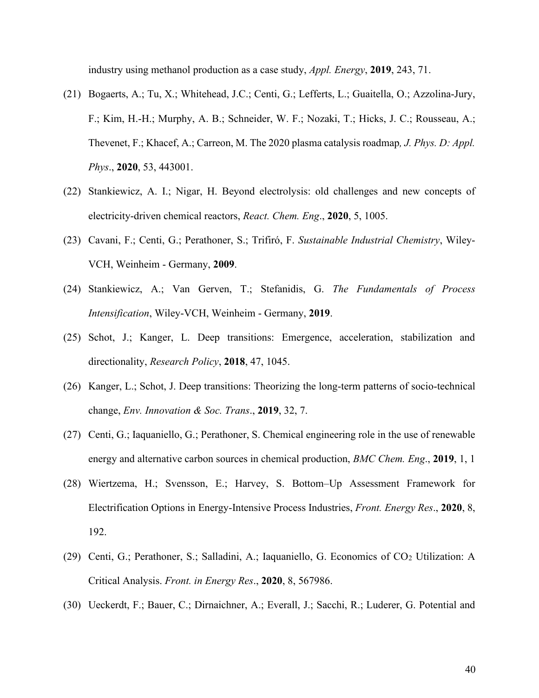industry using methanol production as a case study, *Appl. Energy*, **2019**, 243, 71.

- (21) Bogaerts, A.; Tu, X.; Whitehead, J.C.; Centi, G.; Lefferts, L.; Guaitella, O.; Azzolina-Jury, F.; Kim, H.-H.; Murphy, A. B.; Schneider, W. F.; Nozaki, T.; Hicks, J. C.; Rousseau, A.; Thevenet, F.; Khacef, A.; Carreon, M. The 2020 plasma catalysis roadmap*, J. Phys. D: Appl. Phys*., **2020**, 53, 443001.
- (22) Stankiewicz, A. I.; Nigar, H. Beyond electrolysis: old challenges and new concepts of electricity-driven chemical reactors, *React. Chem. Eng*., **2020**, 5, 1005.
- (23) Cavani, F.; Centi, G.; Perathoner, S.; Trifiró, F. *Sustainable Industrial Chemistry*, Wiley-VCH, Weinheim - Germany, **2009**.
- (24) Stankiewicz, A.; Van Gerven, T.; Stefanidis, G. *The Fundamentals of Process Intensification*, Wiley-VCH, Weinheim - Germany, **2019**.
- (25) Schot, J.; Kanger, L. Deep transitions: Emergence, acceleration, stabilization and directionality, *Research Policy*, **2018**, 47, 1045.
- (26) Kanger, L.; Schot, J. Deep transitions: Theorizing the long-term patterns of socio-technical change, *Env. Innovation & Soc. Trans*., **2019**, 32, 7.
- (27) Centi, G.; Iaquaniello, G.; Perathoner, S. Chemical engineering role in the use of renewable energy and alternative carbon sources in chemical production, *BMC Chem. Eng*., **2019**, 1, 1
- (28) Wiertzema, H.; Svensson, E.; Harvey, S. Bottom–Up Assessment Framework for Electrification Options in Energy-Intensive Process Industries, *Front. Energy Res*., **2020**, 8, 192.
- (29) Centi, G.; Perathoner, S.; Salladini, A.; Iaquaniello, G. Economics of  $CO<sub>2</sub>$  Utilization: A Critical Analysis. *Front. in Energy Res*., **2020**, 8, 567986.
- (30) Ueckerdt, F.; Bauer, C.; Dirnaichner, A.; Everall, J.; Sacchi, R.; Luderer, G. Potential and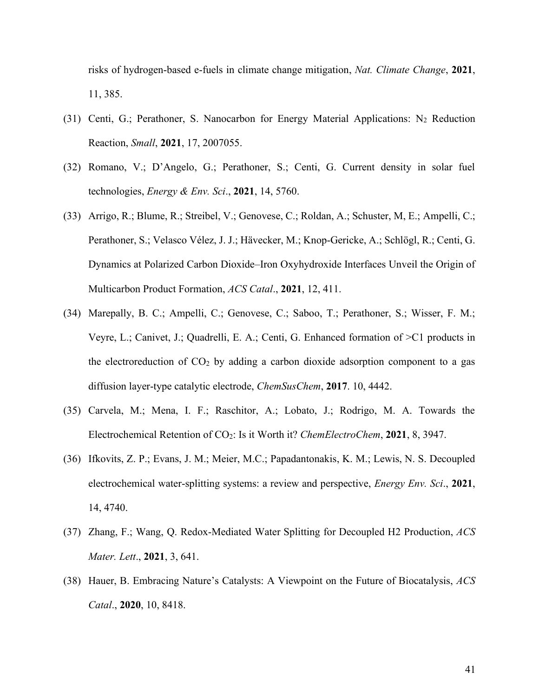risks of hydrogen-based e-fuels in climate change mitigation, *Nat. Climate Change*, **2021**, 11, 385.

- (31) Centi, G.; Perathoner, S. Nanocarbon for Energy Material Applications: N<sub>2</sub> Reduction Reaction, *Small*, **2021**, 17, 2007055.
- (32) Romano, V.; D'Angelo, G.; Perathoner, S.; Centi, G. Current density in solar fuel technologies, *Energy & Env. Sci*., **2021**, 14, 5760.
- (33) Arrigo, R.; Blume, R.; Streibel, V.; Genovese, C.; Roldan, A.; Schuster, M, E.; Ampelli, C.; Perathoner, S.; Velasco Vélez, J. J.; Hävecker, M.; Knop-Gericke, A.; Schlögl, R.; Centi, G. Dynamics at Polarized Carbon Dioxide–Iron Oxyhydroxide Interfaces Unveil the Origin of Multicarbon Product Formation, *ACS Catal*., **2021**, 12, 411.
- (34) Marepally, B. C.; Ampelli, C.; Genovese, C.; Saboo, T.; Perathoner, S.; Wisser, F. M.; Veyre, L.; Canivet, J.; Quadrelli, E. A.; Centi, G. Enhanced formation of >C1 products in the electroreduction of  $CO<sub>2</sub>$  by adding a carbon dioxide adsorption component to a gas diffusion layer‐type catalytic electrode, *ChemSusChem*, **2017**. 10, 4442.
- (35) Carvela, M.; Mena, I. F.; Raschitor, A.; Lobato, J.; Rodrigo, M. A. Towards the Electrochemical Retention of CO2: Is it Worth it? *ChemElectroChem*, **2021**, 8, 3947.
- (36) Ifkovits, Z. P.; Evans, J. M.; Meier, M.C.; Papadantonakis, K. M.; Lewis, N. S. Decoupled electrochemical water-splitting systems: a review and perspective, *Energy Env. Sci*., **2021**, 14, 4740.
- (37) Zhang, F.; Wang, Q. Redox-Mediated Water Splitting for Decoupled H2 Production, *ACS Mater. Lett*., **2021**, 3, 641.
- (38) Hauer, B. Embracing Nature's Catalysts: A Viewpoint on the Future of Biocatalysis, *ACS Catal*., **2020**, 10, 8418.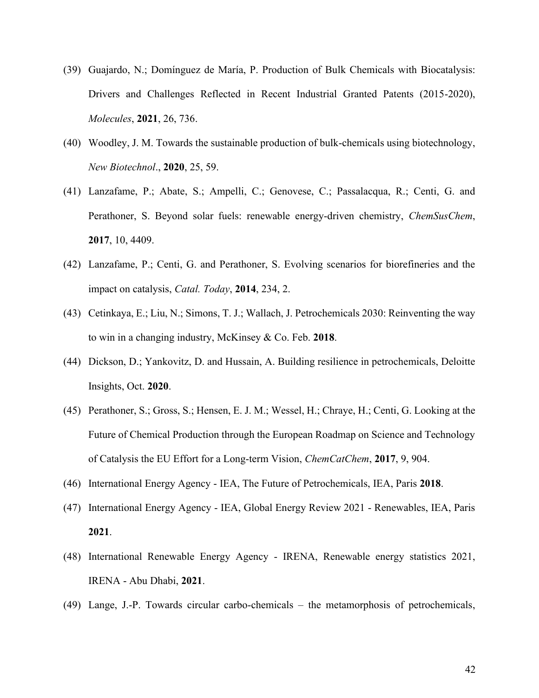- (39) Guajardo, N.; Domínguez de María, P. Production of Bulk Chemicals with Biocatalysis: Drivers and Challenges Reflected in Recent Industrial Granted Patents (2015-2020), *Molecules*, **2021**, 26, 736.
- (40) Woodley, J. M. Towards the sustainable production of bulk-chemicals using biotechnology, *New Biotechnol*., **2020**, 25, 59.
- (41) Lanzafame, P.; Abate, S.; Ampelli, C.; Genovese, C.; Passalacqua, R.; Centi, G. and Perathoner, S. Beyond solar fuels: renewable energy‐driven chemistry, *ChemSusChem*, **2017**, 10, 4409.
- (42) Lanzafame, P.; Centi, G. and Perathoner, S. Evolving scenarios for biorefineries and the impact on catalysis, *Catal. Today*, **2014**, 234, 2.
- (43) Cetinkaya, E.; Liu, N.; Simons, T. J.; Wallach, J. Petrochemicals 2030: Reinventing the way to win in a changing industry, McKinsey & Co. Feb. **2018**.
- (44) Dickson, D.; Yankovitz, D. and Hussain, A. Building resilience in petrochemicals, Deloitte Insights, Oct. **2020**.
- (45) Perathoner, S.; Gross, S.; Hensen, E. J. M.; Wessel, H.; Chraye, H.; Centi, G. Looking at the Future of Chemical Production through the European Roadmap on Science and Technology of Catalysis the EU Effort for a Long‐term Vision, *ChemCatChem*, **2017**, 9, 904.
- (46) International Energy Agency IEA, The Future of Petrochemicals, IEA, Paris **2018**.
- (47) International Energy Agency IEA, Global Energy Review 2021 Renewables, IEA, Paris **2021**.
- (48) International Renewable Energy Agency IRENA, Renewable energy statistics 2021, IRENA - Abu Dhabi, **2021**.
- (49) Lange, J.-P. Towards circular carbo-chemicals the metamorphosis of petrochemicals,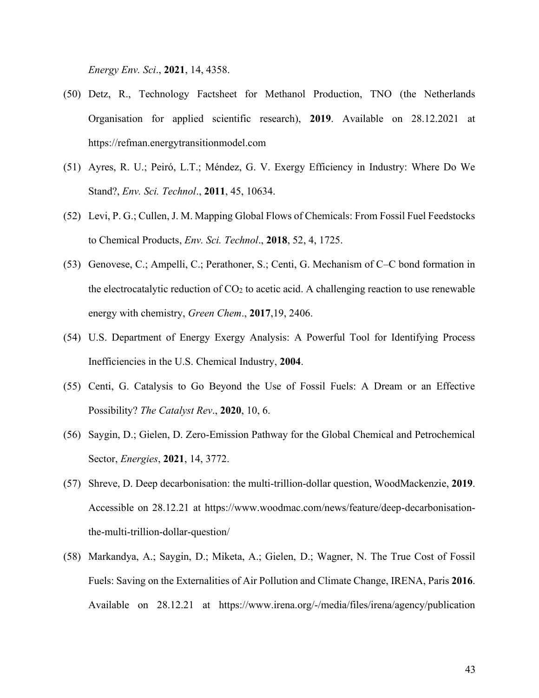*Energy Env. Sci*., **2021**, 14, 4358.

- (50) Detz, R., Technology Factsheet for Methanol Production, TNO (the Netherlands Organisation for applied scientific research), **2019**. Available on 28.12.2021 at https://refman.energytransitionmodel.com
- (51) Ayres, R. U.; Peiró, L.T.; Méndez, G. V. Exergy Efficiency in Industry: Where Do We Stand?, *Env. Sci. Technol*., **2011**, 45, 10634.
- (52) Levi, P. G.; Cullen, J. M. Mapping Global Flows of Chemicals: From Fossil Fuel Feedstocks to Chemical Products, *Env. Sci. Technol*., **2018**, 52, 4, 1725.
- (53) Genovese, C.; Ampelli, C.; Perathoner, S.; Centi, G. Mechanism of C–C bond formation in the electrocatalytic reduction of  $CO<sub>2</sub>$  to acetic acid. A challenging reaction to use renewable energy with chemistry, *Green Chem*., **2017**,19, 2406.
- (54) U.S. Department of Energy Exergy Analysis: A Powerful Tool for Identifying Process Inefficiencies in the U.S. Chemical Industry, **2004**.
- (55) Centi, G. Catalysis to Go Beyond the Use of Fossil Fuels: A Dream or an Effective Possibility? *The Catalyst Rev*., **2020**, 10, 6.
- (56) Saygin, D.; Gielen, D. Zero-Emission Pathway for the Global Chemical and Petrochemical Sector, *Energies*, **2021**, 14, 3772.
- (57) Shreve, D. Deep decarbonisation: the multi-trillion-dollar question, WoodMackenzie, **2019**. Accessible on 28.12.21 at https://www.woodmac.com/news/feature/deep-decarbonisationthe-multi-trillion-dollar-question/
- (58) Markandya, A.; Saygin, D.; Miketa, A.; Gielen, D.; Wagner, N. The True Cost of Fossil Fuels: Saving on the Externalities of Air Pollution and Climate Change, IRENA, Paris **2016**. Available on 28.12.21 at https://www.irena.org/-/media/files/irena/agency/publication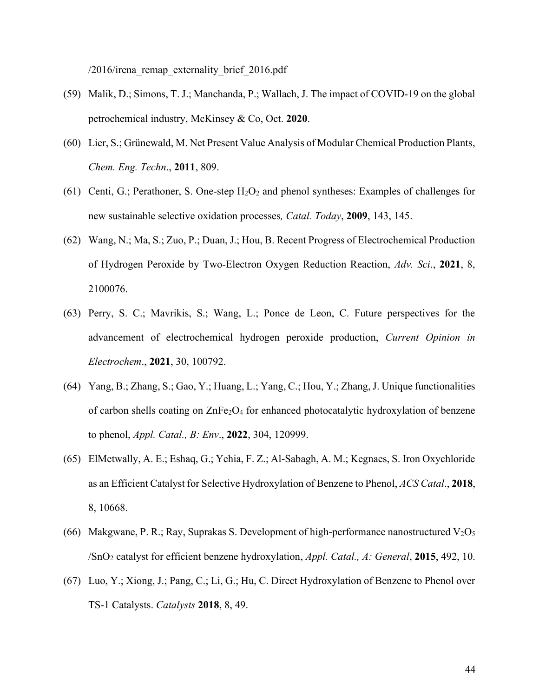/2016/irena remap externality brief 2016.pdf

- (59) Malik, D.; Simons, T. J.; Manchanda, P.; Wallach, J. The impact of COVID-19 on the global petrochemical industry, McKinsey & Co, Oct. **2020**.
- (60) Lier, S.; Grünewald, M. Net Present Value Analysis of Modular Chemical Production Plants, *Chem. Eng. Techn*., **2011**, 809.
- (61) Centi, G.; Perathoner, S. One-step  $H_2O_2$  and phenol syntheses: Examples of challenges for new sustainable selective oxidation processes*, Catal. Today*, **2009**, 143, 145.
- (62) Wang, N.; Ma, S.; Zuo, P.; Duan, J.; Hou, B. Recent Progress of Electrochemical Production of Hydrogen Peroxide by Two-Electron Oxygen Reduction Reaction, *Adv. Sci*., **2021**, 8, 2100076.
- (63) Perry, S. C.; Mavrikis, S.; Wang, L.; Ponce de Leon, C. Future perspectives for the advancement of electrochemical hydrogen peroxide production, *Current Opinion in Electrochem*., **2021**, 30, 100792.
- (64) Yang, B.; Zhang, S.; Gao, Y.; Huang, L.; Yang, C.; Hou, Y.; Zhang, J. Unique functionalities of carbon shells coating on  $\text{ZnFe}_2\text{O}_4$  for enhanced photocatalytic hydroxylation of benzene to phenol, *Appl. Catal., B: Env*., **2022**, 304, 120999.
- (65) ElMetwally, A. E.; Eshaq, G.; Yehia, F. Z.; Al-Sabagh, A. M.; Kegnaes, S. Iron Oxychloride as an Efficient Catalyst for Selective Hydroxylation of Benzene to Phenol, *ACS Catal*., **2018**, 8, 10668.
- (66) Makgwane, P. R.; Ray, Suprakas S. Development of high-performance nanostructured  $V_2O_5$ /SnO<sup>2</sup> catalyst for efficient benzene hydroxylation, *Appl. Catal., A: General*, **2015**, 492, 10.
- (67) Luo, Y.; Xiong, J.; Pang, C.; Li, G.; Hu, C. Direct Hydroxylation of Benzene to Phenol over TS-1 Catalysts. *Catalysts* **2018**, 8, 49.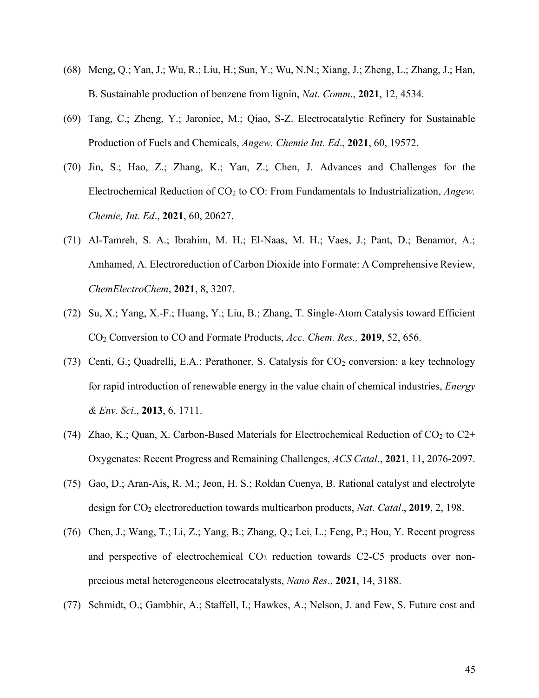- (68) Meng, Q.; Yan, J.; Wu, R.; Liu, H.; Sun, Y.; Wu, N.N.; Xiang, J.; Zheng, L.; Zhang, J.; Han, B. Sustainable production of benzene from lignin, *Nat. Comm*., **2021**, 12, 4534.
- (69) Tang, C.; Zheng, Y.; Jaroniec, M.; Qiao, S-Z. Electrocatalytic Refinery for Sustainable Production of Fuels and Chemicals, *Angew. Chemie Int. Ed*., **2021**, 60, 19572.
- (70) Jin, S.; Hao, Z.; Zhang, K.; Yan, Z.; Chen, J. Advances and Challenges for the Electrochemical Reduction of CO<sup>2</sup> to CO: From Fundamentals to Industrialization, *Angew. Chemie, Int. Ed*., **2021**, 60, 20627.
- (71) Al-Tamreh, S. A.; Ibrahim, M. H.; El-Naas, M. H.; Vaes, J.; Pant, D.; Benamor, A.; Amhamed, A. Electroreduction of Carbon Dioxide into Formate: A Comprehensive Review, *ChemElectroChem*, **2021**, 8, 3207.
- (72) Su, X.; Yang, X.-F.; Huang, Y.; Liu, B.; Zhang, T. Single-Atom Catalysis toward Efficient CO<sup>2</sup> Conversion to CO and Formate Products, *Acc. Chem. Res.,* **2019**, 52, 656.
- (73) Centi, G.; Quadrelli, E.A.; Perathoner, S. Catalysis for  $CO_2$  conversion: a key technology for rapid introduction of renewable energy in the value chain of chemical industries, *Energy & Env. Sci*., **2013**, 6, 1711.
- (74) Zhao, K.; Quan, X. Carbon-Based Materials for Electrochemical Reduction of  $CO<sub>2</sub>$  to  $C2+$ Oxygenates: Recent Progress and Remaining Challenges, *ACS Catal*., **2021**, 11, 2076-2097.
- (75) Gao, D.; Aran-Ais, R. M.; Jeon, H. S.; Roldan Cuenya, B. Rational catalyst and electrolyte design for CO<sup>2</sup> electroreduction towards multicarbon products, *Nat. Catal*., **2019**, 2, 198.
- (76) Chen, J.; Wang, T.; Li, Z.; Yang, B.; Zhang, Q.; Lei, L.; Feng, P.; Hou, Y. Recent progress and perspective of electrochemical  $CO<sub>2</sub>$  reduction towards C2-C5 products over nonprecious metal heterogeneous electrocatalysts, *Nano Res*., **2021**, 14, 3188.
- (77) Schmidt, O.; Gambhir, A.; Staffell, I.; Hawkes, A.; Nelson, J. and Few, S. Future cost and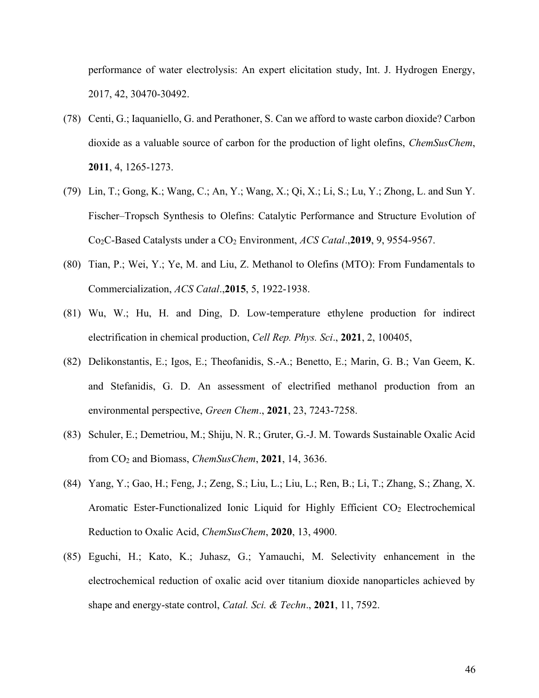performance of water electrolysis: An expert elicitation study, Int. J. Hydrogen Energy, 2017, 42, 30470-30492.

- (78) Centi, G.; Iaquaniello, G. and Perathoner, S. Can we afford to waste carbon dioxide? Carbon dioxide as a valuable source of carbon for the production of light olefins, *ChemSusChem*, **2011**, 4, 1265-1273.
- (79) Lin, T.; Gong, K.; Wang, C.; An, Y.; Wang, X.; Qi, X.; Li, S.; Lu, Y.; Zhong, L. and Sun Y. Fischer–Tropsch Synthesis to Olefins: Catalytic Performance and Structure Evolution of Co2C-Based Catalysts under a CO<sup>2</sup> Environment, *ACS Catal*.,**2019**, 9, 9554-9567.
- (80) Tian, P.; Wei, Y.; Ye, M. and Liu, Z. Methanol to Olefins (MTO): From Fundamentals to Commercialization, *ACS Catal*.,**2015**, 5, 1922-1938.
- (81) Wu, W.; Hu, H. and Ding, D. Low-temperature ethylene production for indirect electrification in chemical production, *Cell Rep. Phys. Sci*., **2021**, 2, 100405,
- (82) Delikonstantis, E.; Igos, E.; Theofanidis, S.-A.; Benetto, E.; Marin, G. B.; Van Geem, K. and Stefanidis, G. D. An assessment of electrified methanol production from an environmental perspective, *Green Chem*., **2021**, 23, 7243-7258.
- (83) Schuler, E.; Demetriou, M.; Shiju, N. R.; Gruter, G.-J. M. Towards Sustainable Oxalic Acid from CO<sup>2</sup> and Biomass, *ChemSusChem*, **2021**, 14, 3636.
- (84) Yang, Y.; Gao, H.; Feng, J.; Zeng, S.; Liu, L.; Liu, L.; Ren, B.; Li, T.; Zhang, S.; Zhang, X. Aromatic Ester-Functionalized Ionic Liquid for Highly Efficient CO<sub>2</sub> Electrochemical Reduction to Oxalic Acid, *ChemSusChem*, **2020**, 13, 4900.
- (85) Eguchi, H.; Kato, K.; Juhasz, G.; Yamauchi, M. Selectivity enhancement in the electrochemical reduction of oxalic acid over titanium dioxide nanoparticles achieved by shape and energy-state control, *Catal. Sci. & Techn*., **2021**, 11, 7592.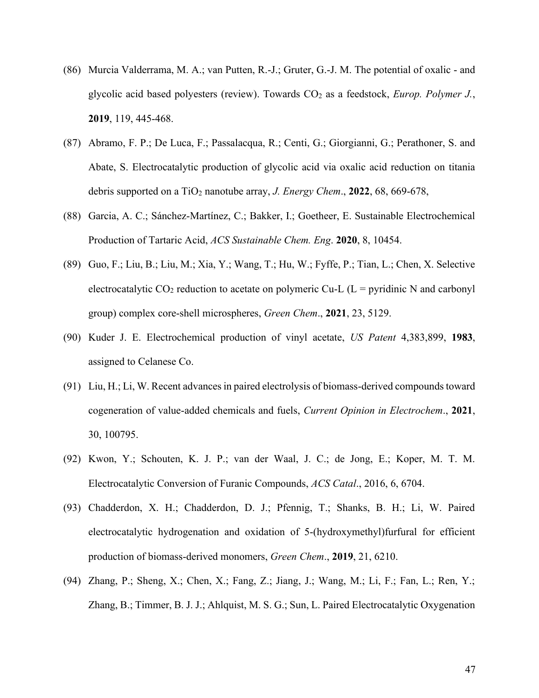- (86) Murcia Valderrama, M. A.; van Putten, R.-J.; Gruter, G.-J. M. The potential of oxalic and glycolic acid based polyesters (review). Towards CO<sup>2</sup> as a feedstock, *Europ. Polymer J.*, **2019**, 119, 445-468.
- (87) Abramo, F. P.; De Luca, F.; Passalacqua, R.; Centi, G.; Giorgianni, G.; Perathoner, S. and Abate, S. Electrocatalytic production of glycolic acid via oxalic acid reduction on titania debris supported on a TiO<sup>2</sup> nanotube array, *J. Energy Chem*., **2022**, 68, 669-678,
- (88) Garcia, A. C.; Sánchez-Martínez, C.; Bakker, I.; Goetheer, E. Sustainable Electrochemical Production of Tartaric Acid, *ACS Sustainable Chem. Eng*. **2020**, 8, 10454.
- (89) Guo, F.; Liu, B.; Liu, M.; Xia, Y.; Wang, T.; Hu, W.; Fyffe, P.; Tian, L.; Chen, X. Selective electrocatalytic  $CO_2$  reduction to acetate on polymeric Cu-L (L = pyridinic N and carbonyl group) complex core-shell microspheres, *Green Chem*., **2021**, 23, 5129.
- (90) Kuder J. E. Electrochemical production of vinyl acetate, *US Patent* 4,383,899, **1983**, assigned to Celanese Co.
- (91) Liu, H.; Li, W. Recent advances in paired electrolysis of biomass-derived compounds toward cogeneration of value-added chemicals and fuels, *Current Opinion in Electrochem*., **2021**, 30, 100795.
- (92) Kwon, Y.; Schouten, K. J. P.; van der Waal, J. C.; de Jong, E.; Koper, M. T. M. Electrocatalytic Conversion of Furanic Compounds, *ACS Catal*., 2016, 6, 6704.
- (93) Chadderdon, X. H.; Chadderdon, D. J.; Pfennig, T.; Shanks, B. H.; Li, W. Paired electrocatalytic hydrogenation and oxidation of 5-(hydroxymethyl)furfural for efficient production of biomass-derived monomers, *Green Chem*., **2019**, 21, 6210.
- (94) Zhang, P.; Sheng, X.; Chen, X.; Fang, Z.; Jiang, J.; Wang, M.; Li, F.; Fan, L.; Ren, Y.; Zhang, B.; Timmer, B. J. J.; Ahlquist, M. S. G.; Sun, L. Paired Electrocatalytic Oxygenation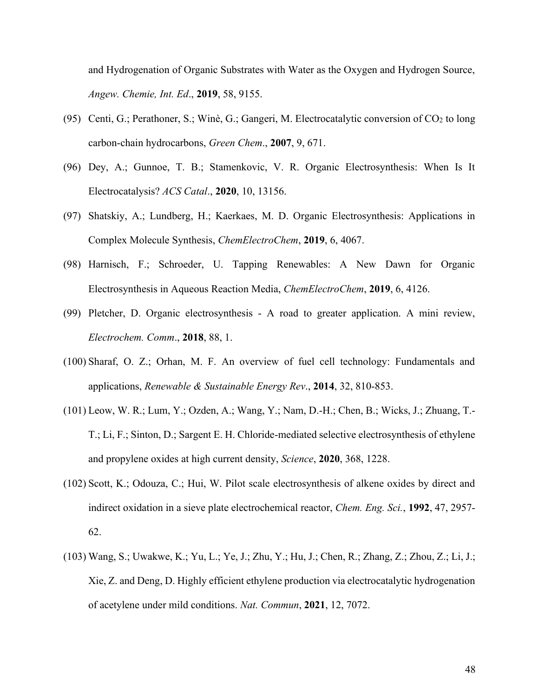and Hydrogenation of Organic Substrates with Water as the Oxygen and Hydrogen Source, *Angew. Chemie, Int. Ed*., **2019**, 58, 9155.

- (95) Centi, G.; Perathoner, S.; Winè, G.; Gangeri, M. Electrocatalytic conversion of  $CO<sub>2</sub>$  to long carbon-chain hydrocarbons, *Green Chem*., **2007**, 9, 671.
- (96) Dey, A.; Gunnoe, T. B.; Stamenkovic, V. R. Organic Electrosynthesis: When Is It Electrocatalysis? *ACS Catal*., **2020**, 10, 13156.
- (97) Shatskiy, A.; Lundberg, H.; Kaerkaes, M. D. Organic Electrosynthesis: Applications in Complex Molecule Synthesis, *ChemElectroChem*, **2019**, 6, 4067.
- (98) Harnisch, F.; Schroeder, U. Tapping Renewables: A New Dawn for Organic Electrosynthesis in Aqueous Reaction Media, *ChemElectroChem*, **2019**, 6, 4126.
- (99) Pletcher, D. Organic electrosynthesis A road to greater application. A mini review, *Electrochem. Comm*., **2018**, 88, 1.
- (100) Sharaf, O. Z.; Orhan, M. F. An overview of fuel cell technology: Fundamentals and applications, *Renewable & Sustainable Energy Rev*., **2014**, 32, 810-853.
- (101) Leow, W. R.; Lum, Y.; Ozden, A.; Wang, Y.; Nam, D.-H.; Chen, B.; Wicks, J.; Zhuang, T.- T.; Li, F.; Sinton, D.; Sargent E. H. Chloride-mediated selective electrosynthesis of ethylene and propylene oxides at high current density, *Science*, **2020**, 368, 1228.
- (102) Scott, K.; Odouza, C.; Hui, W. Pilot scale electrosynthesis of alkene oxides by direct and indirect oxidation in a sieve plate electrochemical reactor, *Chem. Eng. Sci.*, **1992**, 47, 2957- 62.
- (103) Wang, S.; Uwakwe, K.; Yu, L.; Ye, J.; Zhu, Y.; Hu, J.; Chen, R.; Zhang, Z.; Zhou, Z.; Li, J.; Xie, Z. and Deng, D. Highly efficient ethylene production via electrocatalytic hydrogenation of acetylene under mild conditions. *Nat. Commun*, **2021**, 12, 7072.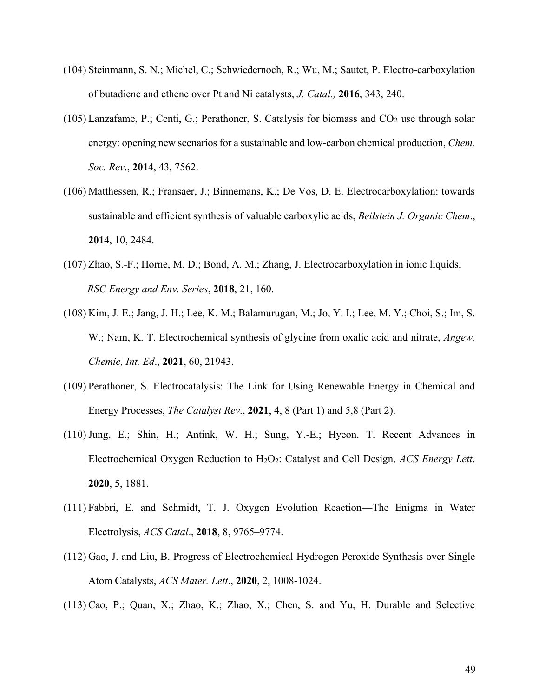- (104) Steinmann, S. N.; Michel, C.; Schwiedernoch, R.; Wu, M.; Sautet, P. Electro-carboxylation of butadiene and ethene over Pt and Ni catalysts, *J. Catal.,* **2016**, 343, 240.
- (105) Lanzafame, P.; Centi, G.; Perathoner, S. Catalysis for biomass and  $CO<sub>2</sub>$  use through solar energy: opening new scenarios for a sustainable and low-carbon chemical production, *Chem. Soc. Rev*., **2014**, 43, 7562.
- (106) Matthessen, R.; Fransaer, J.; Binnemans, K.; De Vos, D. E. Electrocarboxylation: towards sustainable and efficient synthesis of valuable carboxylic acids, *Beilstein J. Organic Chem*., **2014**, 10, 2484.
- (107) Zhao, S.-F.; Horne, M. D.; Bond, A. M.; Zhang, J. Electrocarboxylation in ionic liquids, *RSC Energy and Env. Series*, **2018**, 21, 160.
- (108) Kim, J. E.; Jang, J. H.; Lee, K. M.; Balamurugan, M.; Jo, Y. I.; Lee, M. Y.; Choi, S.; Im, S. W.; Nam, K. T. Electrochemical synthesis of glycine from oxalic acid and nitrate, *Angew, Chemie, Int. Ed*., **2021**, 60, 21943.
- (109) Perathoner, S. Electrocatalysis: The Link for Using Renewable Energy in Chemical and Energy Processes, *The Catalyst Rev*., **2021**, 4, 8 (Part 1) and 5,8 (Part 2).
- (110)Jung, E.; Shin, H.; Antink, W. H.; Sung, Y.-E.; Hyeon. T. Recent Advances in Electrochemical Oxygen Reduction to H2O2: Catalyst and Cell Design, *ACS Energy Lett*. **2020**, 5, 1881.
- (111) Fabbri, E. and Schmidt, T. J. Oxygen Evolution Reaction—The Enigma in Water Electrolysis, *ACS Catal*., **2018**, 8, 9765–9774.
- (112) Gao, J. and Liu, B. Progress of Electrochemical Hydrogen Peroxide Synthesis over Single Atom Catalysts, *ACS Mater. Lett*., **2020**, 2, 1008-1024.
- (113) Cao, P.; Quan, X.; Zhao, K.; Zhao, X.; Chen, S. and Yu, H. Durable and Selective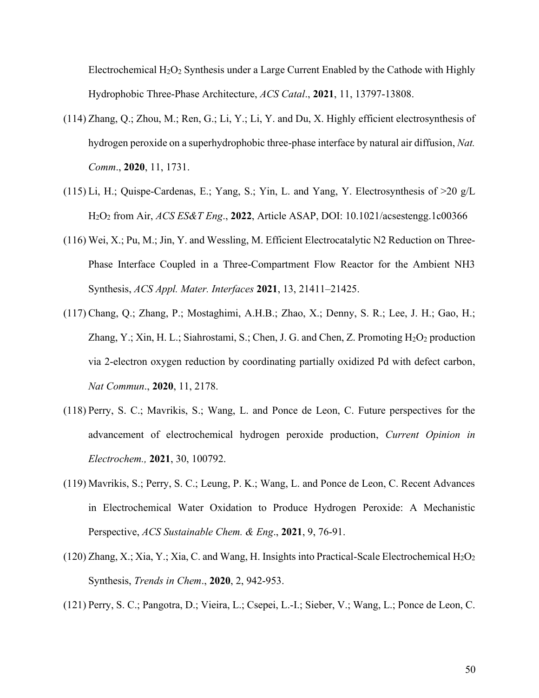Electrochemical  $H_2O_2$  Synthesis under a Large Current Enabled by the Cathode with Highly Hydrophobic Three-Phase Architecture, *ACS Catal*., **2021**, 11, 13797-13808.

- (114) Zhang, Q.; Zhou, M.; Ren, G.; Li, Y.; Li, Y. and Du, X. Highly efficient electrosynthesis of hydrogen peroxide on a superhydrophobic three-phase interface by natural air diffusion, *Nat. Comm*., **2020**, 11, 1731.
- (115) Li, H.; Quispe-Cardenas, E.; Yang, S.; Yin, L. and Yang, Y. Electrosynthesis of >20 g/L H2O<sup>2</sup> from Air, *ACS ES&T Eng*., **2022**, Article ASAP, DOI: 10.1021/acsestengg.1c00366
- (116) Wei, X.; Pu, M.; Jin, Y. and Wessling, M. Efficient Electrocatalytic N2 Reduction on Three-Phase Interface Coupled in a Three-Compartment Flow Reactor for the Ambient NH3 Synthesis, *ACS Appl. Mater. Interfaces* **2021**, 13, 21411–21425.
- (117) Chang, Q.; Zhang, P.; Mostaghimi, A.H.B.; Zhao, X.; Denny, S. R.; Lee, J. H.; Gao, H.; Zhang, Y.; Xin, H. L.; Siahrostami, S.; Chen, J. G. and Chen, Z. Promoting  $H_2O_2$  production via 2-electron oxygen reduction by coordinating partially oxidized Pd with defect carbon, *Nat Commun*., **2020**, 11, 2178.
- (118) Perry, S. C.; Mavrikis, S.; Wang, L. and Ponce de Leon, C. Future perspectives for the advancement of electrochemical hydrogen peroxide production, *Current Opinion in Electrochem.,* **2021**, 30, 100792.
- (119) Mavrikis, S.; Perry, S. C.; Leung, P. K.; Wang, L. and Ponce de Leon, C. Recent Advances in Electrochemical Water Oxidation to Produce Hydrogen Peroxide: A Mechanistic Perspective, *ACS Sustainable Chem. & Eng*., **2021**, 9, 76-91.
- (120) Zhang, X.; Xia, Y.; Xia, C. and Wang, H. Insights into Practical-Scale Electrochemical  $H_2O_2$ Synthesis, *Trends in Chem*., **2020**, 2, 942-953.
- (121) Perry, S. C.; Pangotra, D.; Vieira, L.; Csepei, L.-I.; Sieber, V.; Wang, L.; Ponce de Leon, C.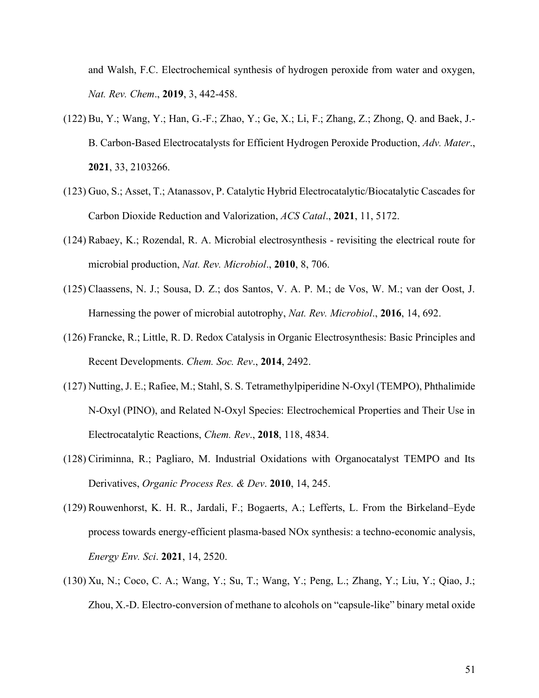and Walsh, F.C. Electrochemical synthesis of hydrogen peroxide from water and oxygen, *Nat. Rev. Chem*., **2019**, 3, 442-458.

- (122) Bu, Y.; Wang, Y.; Han, G.-F.; Zhao, Y.; Ge, X.; Li, F.; Zhang, Z.; Zhong, Q. and Baek, J.- B. Carbon-Based Electrocatalysts for Efficient Hydrogen Peroxide Production, *Adv. Mater*., **2021**, 33, 2103266.
- (123) Guo, S.; Asset, T.; Atanassov, P. Catalytic Hybrid Electrocatalytic/Biocatalytic Cascades for Carbon Dioxide Reduction and Valorization, *ACS Catal*., **2021**, 11, 5172.
- (124) Rabaey, K.; Rozendal, R. A. Microbial electrosynthesis revisiting the electrical route for microbial production, *Nat. Rev. Microbiol*., **2010**, 8, 706.
- (125) Claassens, N. J.; Sousa, D. Z.; dos Santos, V. A. P. M.; de Vos, W. M.; van der Oost, J. Harnessing the power of microbial autotrophy, *Nat. Rev. Microbiol*., **2016**, 14, 692.
- (126) Francke, R.; Little, R. D. Redox Catalysis in Organic Electrosynthesis: Basic Principles and Recent Developments. *Chem. Soc. Rev*., **2014**, 2492.
- (127) Nutting, J. E.; Rafiee, M.; Stahl, S. S. Tetramethylpiperidine N-Oxyl (TEMPO), Phthalimide N-Oxyl (PINO), and Related N-Oxyl Species: Electrochemical Properties and Their Use in Electrocatalytic Reactions, *Chem. Rev*., **2018**, 118, 4834.
- (128) Ciriminna, R.; Pagliaro, M. Industrial Oxidations with Organocatalyst TEMPO and Its Derivatives, *Organic Process Res. & Dev*. **2010**, 14, 245.
- (129) Rouwenhorst, K. H. R., Jardali, F.; Bogaerts, A.; Lefferts, L. From the Birkeland–Eyde process towards energy-efficient plasma-based NOx synthesis: a techno-economic analysis, *Energy Env. Sci*. **2021**, 14, 2520.
- (130) Xu, N.; Coco, C. A.; Wang, Y.; Su, T.; Wang, Y.; Peng, L.; Zhang, Y.; Liu, Y.; Qiao, J.; Zhou, X.-D. Electro-conversion of methane to alcohols on "capsule-like" binary metal oxide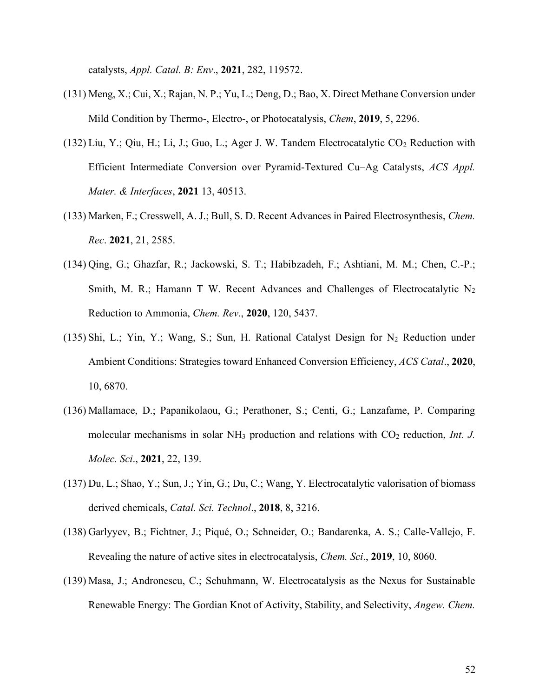catalysts, *Appl. Catal. B: Env*., **2021**, 282, 119572.

- (131) Meng, X.; Cui, X.; Rajan, N. P.; Yu, L.; Deng, D.; Bao, X. Direct Methane Conversion under Mild Condition by Thermo-, Electro-, or Photocatalysis, *Chem*, **2019**, 5, 2296.
- $(132)$  Liu, Y.; Qiu, H.; Li, J.; Guo, L.; Ager J. W. Tandem Electrocatalytic  $CO<sub>2</sub>$  Reduction with Efficient Intermediate Conversion over Pyramid-Textured Cu–Ag Catalysts, *ACS Appl. Mater. & Interfaces*, **2021** 13, 40513.
- (133) Marken, F.; Cresswell, A. J.; Bull, S. D. Recent Advances in Paired Electrosynthesis, *Chem. Rec*. **2021**, 21, 2585.
- (134) Qing, G.; Ghazfar, R.; Jackowski, S. T.; Habibzadeh, F.; Ashtiani, M. M.; Chen, C.-P.; Smith, M. R.; Hamann T W. Recent Advances and Challenges of Electrocatalytic  $N_2$ Reduction to Ammonia, *Chem. Rev*., **2020**, 120, 5437.
- $(135)$  Shi, L.; Yin, Y.; Wang, S.; Sun, H. Rational Catalyst Design for N<sub>2</sub> Reduction under Ambient Conditions: Strategies toward Enhanced Conversion Efficiency, *ACS Catal*., **2020**, 10, 6870.
- (136) Mallamace, D.; Papanikolaou, G.; Perathoner, S.; Centi, G.; Lanzafame, P. Comparing molecular mechanisms in solar NH<sub>3</sub> production and relations with CO<sub>2</sub> reduction, *Int. J. Molec. Sci*., **2021**, 22, 139.
- (137) Du, L.; Shao, Y.; Sun, J.; Yin, G.; Du, C.; Wang, Y. Electrocatalytic valorisation of biomass derived chemicals, *Catal. Sci. Technol*., **2018**, 8, 3216.
- (138) Garlyyev, B.; Fichtner, J.; Piqué, O.; Schneider, O.; Bandarenka, A. S.; Calle-Vallejo, F. Revealing the nature of active sites in electrocatalysis, *Chem. Sci*., **2019**, 10, 8060.
- (139) Masa, J.; Andronescu, C.; Schuhmann, W. Electrocatalysis as the Nexus for Sustainable Renewable Energy: The Gordian Knot of Activity, Stability, and Selectivity, *Angew. Chem.*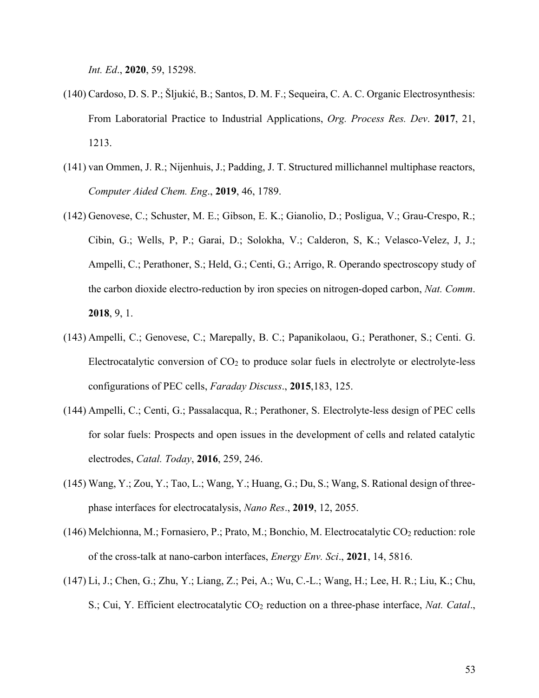*Int. Ed*., **2020**, 59, 15298.

- (140) Cardoso, D. S. P.; Šljukić, B.; Santos, D. M. F.; Sequeira, C. A. C. Organic Electrosynthesis: From Laboratorial Practice to Industrial Applications, *Org. Process Res. Dev*. **2017**, 21, 1213.
- (141) van Ommen, J. R.; Nijenhuis, J.; Padding, J. T. Structured millichannel multiphase reactors, *Computer Aided Chem. Eng*., **2019**, 46, 1789.
- (142) Genovese, C.; Schuster, M. E.; Gibson, E. K.; Gianolio, D.; Posligua, V.; Grau-Crespo, R.; Cibin, G.; Wells, P, P.; Garai, D.; Solokha, V.; Calderon, S, K.; Velasco-Velez, J, J.; Ampelli, C.; Perathoner, S.; Held, G.; Centi, G.; Arrigo, R. Operando spectroscopy study of the carbon dioxide electro-reduction by iron species on nitrogen-doped carbon, *Nat. Comm*. **2018**, 9, 1.
- (143) Ampelli, C.; Genovese, C.; Marepally, B. C.; Papanikolaou, G.; Perathoner, S.; Centi. G. Electrocatalytic conversion of  $CO<sub>2</sub>$  to produce solar fuels in electrolyte or electrolyte-less configurations of PEC cells, *Faraday Discuss*., **2015**,183, 125.
- (144) Ampelli, C.; Centi, G.; Passalacqua, R.; Perathoner, S. Electrolyte-less design of PEC cells for solar fuels: Prospects and open issues in the development of cells and related catalytic electrodes, *Catal. Today*, **2016**, 259, 246.
- (145) Wang, Y.; Zou, Y.; Tao, L.; Wang, Y.; Huang, G.; Du, S.; Wang, S. Rational design of threephase interfaces for electrocatalysis, *Nano Res*., **2019**, 12, 2055.
- (146) Melchionna, M.; Fornasiero, P.; Prato, M.; Bonchio, M. Electrocatalytic  $CO_2$  reduction: role of the cross-talk at nano-carbon interfaces, *Energy Env. Sci*., **2021**, 14, 5816.
- (147) Li, J.; Chen, G.; Zhu, Y.; Liang, Z.; Pei, A.; Wu, C.-L.; Wang, H.; Lee, H. R.; Liu, K.; Chu, S.; Cui, Y. Efficient electrocatalytic CO<sup>2</sup> reduction on a three-phase interface, *Nat. Catal*.,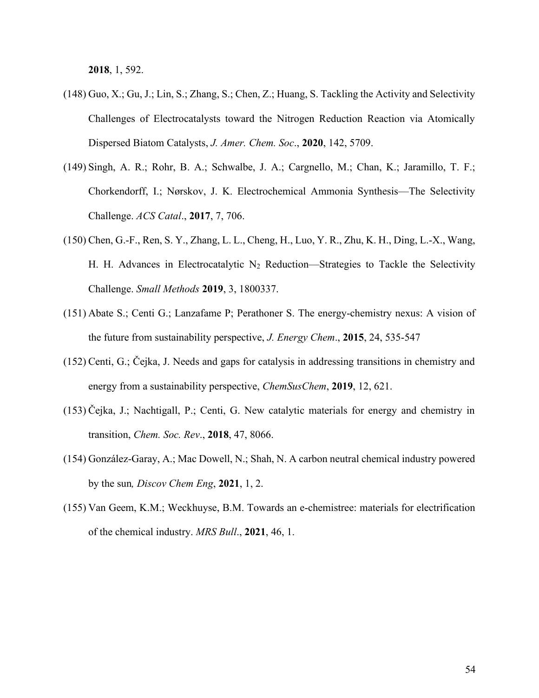**2018**, 1, 592.

- (148) Guo, X.; Gu, J.; Lin, S.; Zhang, S.; Chen, Z.; Huang, S. Tackling the Activity and Selectivity Challenges of Electrocatalysts toward the Nitrogen Reduction Reaction via Atomically Dispersed Biatom Catalysts, *J. Amer. Chem. Soc*., **2020**, 142, 5709.
- (149) Singh, A. R.; Rohr, B. A.; Schwalbe, J. A.; Cargnello, M.; Chan, K.; Jaramillo, T. F.; Chorkendorff, I.; Nørskov, J. K. Electrochemical Ammonia Synthesis—The Selectivity Challenge. *ACS Catal*., **2017**, 7, 706.
- (150) Chen, G.-F., Ren, S. Y., Zhang, L. L., Cheng, H., Luo, Y. R., Zhu, K. H., Ding, L.-X., Wang, H. H. Advances in Electrocatalytic  $N_2$  Reduction—Strategies to Tackle the Selectivity Challenge. *Small Methods* **2019**, 3, 1800337.
- (151) Abate S.; Centi G.; Lanzafame P; Perathoner S. The energy-chemistry nexus: A vision of the future from sustainability perspective, *J. Energy Chem*., **2015**, 24, 535-547
- (152) Centi, G.; Čejka, J. Needs and gaps for catalysis in addressing transitions in chemistry and energy from a sustainability perspective, *ChemSusChem*, **2019**, 12, 621.
- (153) Čejka, J.; Nachtigall, P.; Centi, G. New catalytic materials for energy and chemistry in transition, *Chem. Soc. Rev*., **2018**, 47, 8066.
- (154) González-Garay, A.; Mac Dowell, N.; Shah, N. A carbon neutral chemical industry powered by the sun*, Discov Chem Eng*, **2021**, 1, 2.
- (155) Van Geem, K.M.; Weckhuyse, B.M. Towards an e-chemistree: materials for electrification of the chemical industry. *MRS Bull*., **2021**, 46, 1.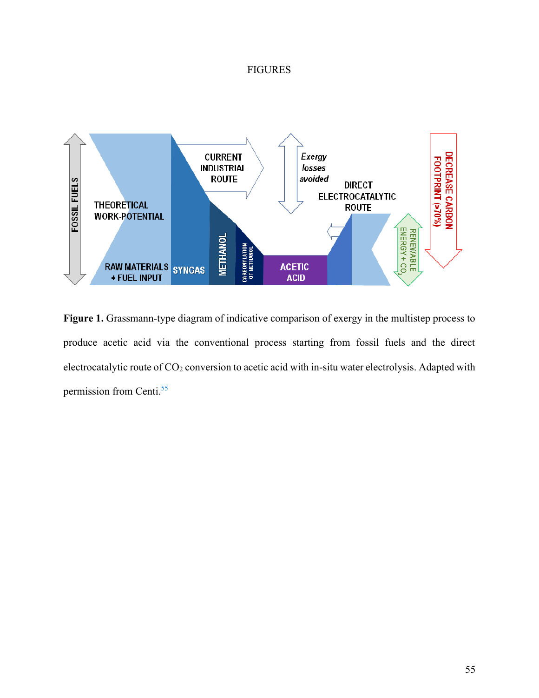# FIGURES



**Figure 1.** Grassmann-type diagram of indicative comparison of exergy in the multistep process to produce acetic acid via the conventional process starting from fossil fuels and the direct electrocatalytic route of CO<sub>2</sub> conversion to acetic acid with in-situ water electrolysis. Adapted with permission from Centi.<sup>55</sup>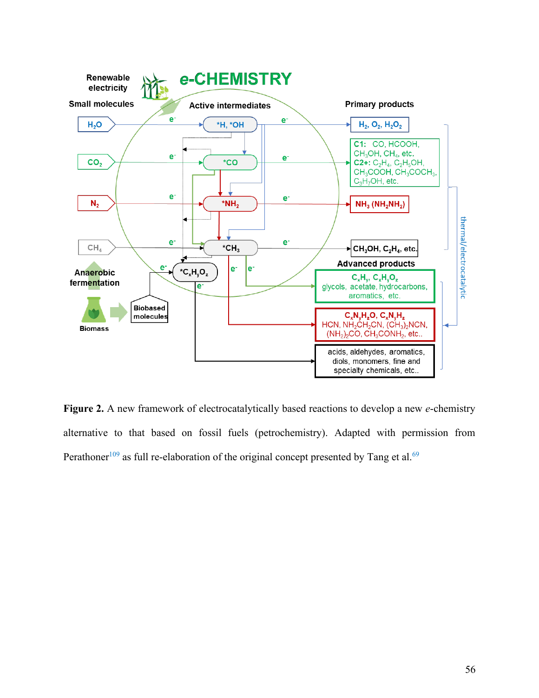

**Figure 2.** A new framework of electrocatalytically based reactions to develop a new *e*-chemistry alternative to that based on fossil fuels (petrochemistry). Adapted with permission from Perathoner<sup>109</sup> as full re-elaboration of the original concept presented by Tang et al.<sup>69</sup>